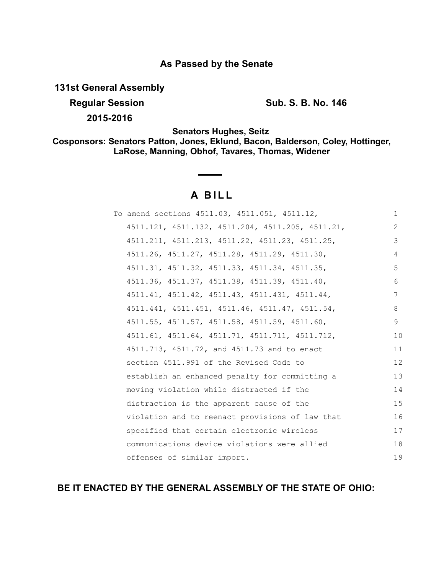# **As Passed by the Senate**

**131st General Assembly**

**Regular Session Sub. S. B. No. 146** 

**2015-2016**

**Senators Hughes, Seitz** 

**Cosponsors: Senators Patton, Jones, Eklund, Bacon, Balderson, Coley, Hottinger, LaRose, Manning, Obhof, Tavares, Thomas, Widener**

# **A B I L L**

**Color** 

| To amend sections 4511.03, 4511.051, 4511.12,    | $\mathbf 1$ |
|--------------------------------------------------|-------------|
| 4511.121, 4511.132, 4511.204, 4511.205, 4511.21, | 2           |
| 4511.211, 4511.213, 4511.22, 4511.23, 4511.25,   | 3           |
| 4511.26, 4511.27, 4511.28, 4511.29, 4511.30,     | 4           |
| 4511.31, 4511.32, 4511.33, 4511.34, 4511.35,     | 5           |
| 4511.36, 4511.37, 4511.38, 4511.39, 4511.40,     | 6           |
| 4511.41, 4511.42, 4511.43, 4511.431, 4511.44,    | 7           |
| 4511.441, 4511.451, 4511.46, 4511.47, 4511.54,   | 8           |
| 4511.55, 4511.57, 4511.58, 4511.59, 4511.60,     | 9           |
| 4511.61, 4511.64, 4511.71, 4511.711, 4511.712,   | 10          |
| 4511.713, 4511.72, and 4511.73 and to enact      | 11          |
| section 4511.991 of the Revised Code to          | 12          |
| establish an enhanced penalty for committing a   | 13          |
| moving violation while distracted if the         | 14          |
| distraction is the apparent cause of the         | 15          |
| violation and to reenact provisions of law that  | 16          |
| specified that certain electronic wireless       | 17          |
| communications device violations were allied     | 18          |
| offenses of similar import.                      | 19          |

### **BE IT ENACTED BY THE GENERAL ASSEMBLY OF THE STATE OF OHIO:**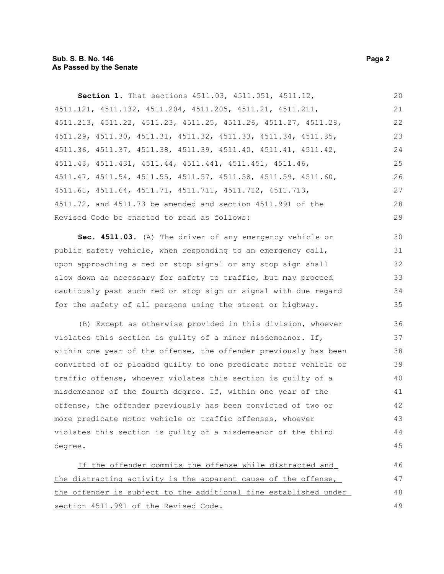**Section 1.** That sections 4511.03, 4511.051, 4511.12, 4511.121, 4511.132, 4511.204, 4511.205, 4511.21, 4511.211, 4511.213, 4511.22, 4511.23, 4511.25, 4511.26, 4511.27, 4511.28, 4511.29, 4511.30, 4511.31, 4511.32, 4511.33, 4511.34, 4511.35, 4511.36, 4511.37, 4511.38, 4511.39, 4511.40, 4511.41, 4511.42, 4511.43, 4511.431, 4511.44, 4511.441, 4511.451, 4511.46, 4511.47, 4511.54, 4511.55, 4511.57, 4511.58, 4511.59, 4511.60, 4511.61, 4511.64, 4511.71, 4511.711, 4511.712, 4511.713, 4511.72, and 4511.73 be amended and section 4511.991 of the Revised Code be enacted to read as follows: 20 21 22 23 24 25 26 27 28 29

**Sec. 4511.03.** (A) The driver of any emergency vehicle or public safety vehicle, when responding to an emergency call, upon approaching a red or stop signal or any stop sign shall slow down as necessary for safety to traffic, but may proceed cautiously past such red or stop sign or signal with due regard for the safety of all persons using the street or highway. 30 31 32 33 34 35

(B) Except as otherwise provided in this division, whoever violates this section is guilty of a minor misdemeanor. If, within one year of the offense, the offender previously has been convicted of or pleaded guilty to one predicate motor vehicle or traffic offense, whoever violates this section is guilty of a misdemeanor of the fourth degree. If, within one year of the offense, the offender previously has been convicted of two or more predicate motor vehicle or traffic offenses, whoever violates this section is guilty of a misdemeanor of the third degree. 36 37 38 39 40 41 42 43 44 45

 If the offender commits the offense while distracted and the distracting activity is the apparent cause of the offense, the offender is subject to the additional fine established under section 4511.991 of the Revised Code. 46 47 48 49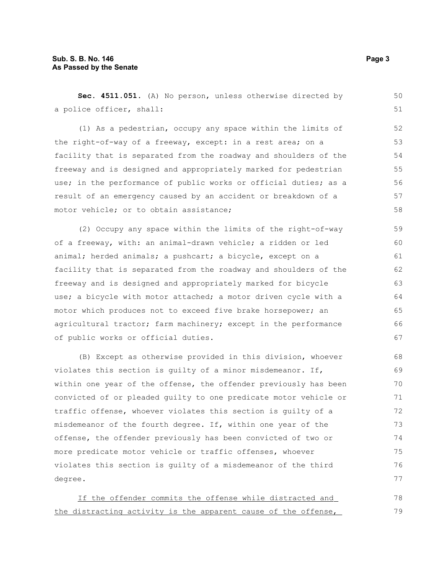| Sec. 4511.051. (A) No person, unless otherwise directed by       | 50 |
|------------------------------------------------------------------|----|
| a police officer, shall:                                         | 51 |
| (1) As a pedestrian, occupy any space within the limits of       | 52 |
| the right-of-way of a freeway, except: in a rest area; on a      | 53 |
| facility that is separated from the roadway and shoulders of the | 54 |
| freeway and is designed and appropriately marked for pedestrian  | 55 |
| use; in the performance of public works or official duties; as a | 56 |
| result of an emergency caused by an accident or breakdown of a   | 57 |
| motor vehicle; or to obtain assistance;                          | 58 |
| (2) Occupy any space within the limits of the right-of-way       | 59 |
| of a freeway, with: an animal-drawn vehicle; a ridden or led     | 60 |
| animal; herded animals; a pushcart; a bicycle, except on a       | 61 |
| facility that is separated from the roadway and shoulders of the | 62 |
| freeway and is designed and appropriately marked for bicycle     | 63 |
| use; a bicycle with motor attached; a motor driven cycle with a  | 64 |
| motor which produces not to exceed five brake horsepower; an     | 65 |
| agricultural tractor; farm machinery; except in the performance  | 66 |
| of public works or official duties.                              | 67 |
| (B) Except as otherwise provided in this division, whoever       | 68 |
| violates this section is quilty of a minor misdemeanor. If,      | 69 |
| within one year of the offense, the offender previously has been | 70 |
| convicted of or pleaded quilty to one predicate motor vehicle or | 71 |
| traffic offense, whoever violates this section is guilty of a    | 72 |
| misdemeanor of the fourth degree. If, within one year of the     | 73 |
| offense, the offender previously has been convicted of two or    | 74 |
| more predicate motor vehicle or traffic offenses, whoever        | 75 |
| violates this section is guilty of a misdemeanor of the third    | 76 |
| degree.                                                          | 77 |
|                                                                  |    |

 If the offender commits the offense while distracted and the distracting activity is the apparent cause of the offense, 78 79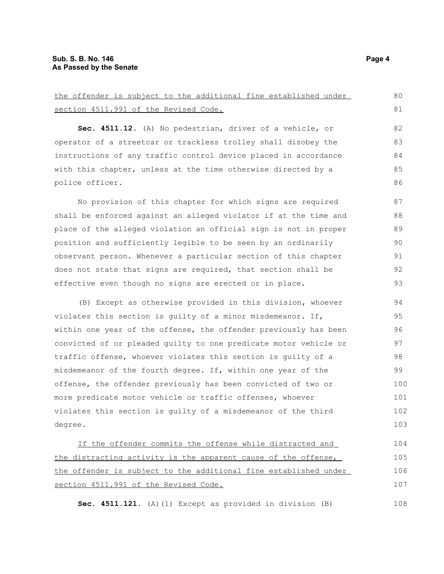| the offender is subject to the additional fine established under | 80  |
|------------------------------------------------------------------|-----|
| section 4511.991 of the Revised Code.                            | 81  |
| Sec. 4511.12. (A) No pedestrian, driver of a vehicle, or         | 82  |
| operator of a streetcar or trackless trolley shall disobey the   | 83  |
| instructions of any traffic control device placed in accordance  | 84  |
| with this chapter, unless at the time otherwise directed by a    | 85  |
| police officer.                                                  | 86  |
| No provision of this chapter for which signs are required        | 87  |
| shall be enforced against an alleged violator if at the time and | 88  |
| place of the alleged violation an official sign is not in proper | 89  |
| position and sufficiently legible to be seen by an ordinarily    | 90  |
| observant person. Whenever a particular section of this chapter  | 91  |
| does not state that signs are required, that section shall be    | 92  |
| effective even though no signs are erected or in place.          | 93  |
| (B) Except as otherwise provided in this division, whoever       | 94  |
| violates this section is quilty of a minor misdemeanor. If,      | 95  |
| within one year of the offense, the offender previously has been | 96  |
| convicted of or pleaded guilty to one predicate motor vehicle or | 97  |
| traffic offense, whoever violates this section is guilty of a    | 98  |
| misdemeanor of the fourth degree. If, within one year of the     | 99  |
| offense, the offender previously has been convicted of two or    | 100 |
| more predicate motor vehicle or traffic offenses, whoever        | 101 |
| violates this section is guilty of a misdemeanor of the third    | 102 |
| degree.                                                          | 103 |
| If the offender commits the offense while distracted and         | 104 |
| the distracting activity is the apparent cause of the offense,   | 105 |
| the offender is subject to the additional fine established under | 106 |
| section 4511.991 of the Revised Code.                            | 107 |

**Sec. 4511.121.** (A)(1) Except as provided in division (B)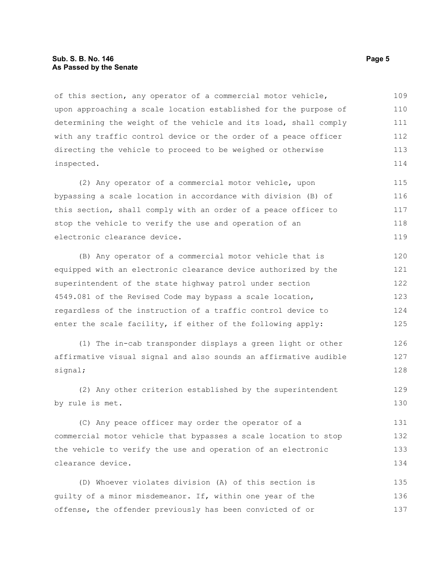#### **Sub. S. B. No. 146 Page 5 As Passed by the Senate**

of this section, any operator of a commercial motor vehicle, upon approaching a scale location established for the purpose of determining the weight of the vehicle and its load, shall comply with any traffic control device or the order of a peace officer directing the vehicle to proceed to be weighed or otherwise inspected. 109 110 111 112 113 114

(2) Any operator of a commercial motor vehicle, upon bypassing a scale location in accordance with division (B) of this section, shall comply with an order of a peace officer to stop the vehicle to verify the use and operation of an electronic clearance device. 115 116 117 118 119

(B) Any operator of a commercial motor vehicle that is equipped with an electronic clearance device authorized by the superintendent of the state highway patrol under section 4549.081 of the Revised Code may bypass a scale location, regardless of the instruction of a traffic control device to enter the scale facility, if either of the following apply: 120 121 122 123 124 125

(1) The in-cab transponder displays a green light or other affirmative visual signal and also sounds an affirmative audible signal; 126 127 128

(2) Any other criterion established by the superintendent by rule is met. 129 130

(C) Any peace officer may order the operator of a commercial motor vehicle that bypasses a scale location to stop the vehicle to verify the use and operation of an electronic clearance device. 131 132 133 134

(D) Whoever violates division (A) of this section is guilty of a minor misdemeanor. If, within one year of the offense, the offender previously has been convicted of or 135 136 137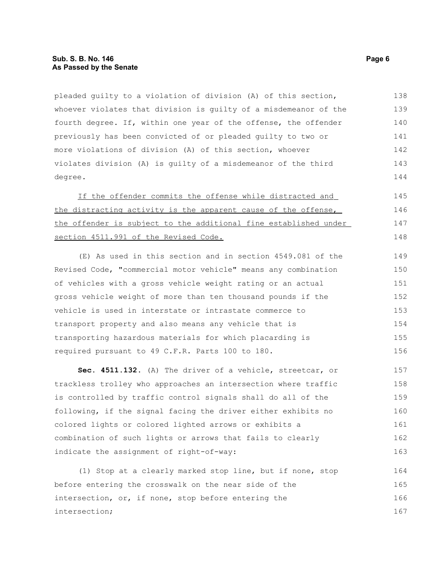#### **Sub. S. B. No. 146 Page 6 As Passed by the Senate**

pleaded guilty to a violation of division (A) of this section, whoever violates that division is guilty of a misdemeanor of the fourth degree. If, within one year of the offense, the offender previously has been convicted of or pleaded guilty to two or more violations of division (A) of this section, whoever violates division (A) is guilty of a misdemeanor of the third degree. 138 139 140 141 142 143 144

 If the offender commits the offense while distracted and the distracting activity is the apparent cause of the offense, the offender is subject to the additional fine established under section 4511.991 of the Revised Code. 145 146 147 148

(E) As used in this section and in section 4549.081 of the Revised Code, "commercial motor vehicle" means any combination of vehicles with a gross vehicle weight rating or an actual gross vehicle weight of more than ten thousand pounds if the vehicle is used in interstate or intrastate commerce to transport property and also means any vehicle that is transporting hazardous materials for which placarding is required pursuant to 49 C.F.R. Parts 100 to 180. 149 150 151 152 153 154 155 156

**Sec. 4511.132.** (A) The driver of a vehicle, streetcar, or trackless trolley who approaches an intersection where traffic is controlled by traffic control signals shall do all of the following, if the signal facing the driver either exhibits no colored lights or colored lighted arrows or exhibits a combination of such lights or arrows that fails to clearly indicate the assignment of right-of-way: 157 158 159 160 161 162 163

(1) Stop at a clearly marked stop line, but if none, stop before entering the crosswalk on the near side of the intersection, or, if none, stop before entering the intersection; 164 165 166 167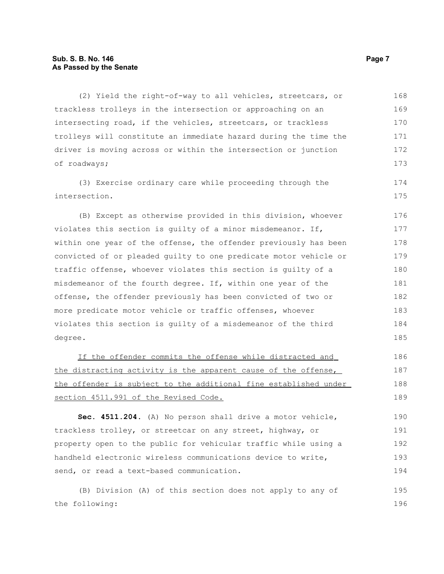#### **Sub. S. B. No. 146 Page 7 As Passed by the Senate**

(2) Yield the right-of-way to all vehicles, streetcars, or trackless trolleys in the intersection or approaching on an intersecting road, if the vehicles, streetcars, or trackless trolleys will constitute an immediate hazard during the time the driver is moving across or within the intersection or junction of roadways; 168 169 170 171 172 173

(3) Exercise ordinary care while proceeding through the intersection.

(B) Except as otherwise provided in this division, whoever violates this section is guilty of a minor misdemeanor. If, within one year of the offense, the offender previously has been convicted of or pleaded guilty to one predicate motor vehicle or traffic offense, whoever violates this section is guilty of a misdemeanor of the fourth degree. If, within one year of the offense, the offender previously has been convicted of two or more predicate motor vehicle or traffic offenses, whoever violates this section is guilty of a misdemeanor of the third degree. 176 177 178 179 180 181 182 183 184 185

If the offender commits the offense while distracted and the distracting activity is the apparent cause of the offense, the offender is subject to the additional fine established under section 4511.991 of the Revised Code. 186 187 188 189

**Sec. 4511.204.** (A) No person shall drive a motor vehicle, trackless trolley, or streetcar on any street, highway, or property open to the public for vehicular traffic while using a handheld electronic wireless communications device to write, send, or read a text-based communication. 190 191 192 193 194

(B) Division (A) of this section does not apply to any of the following: 195 196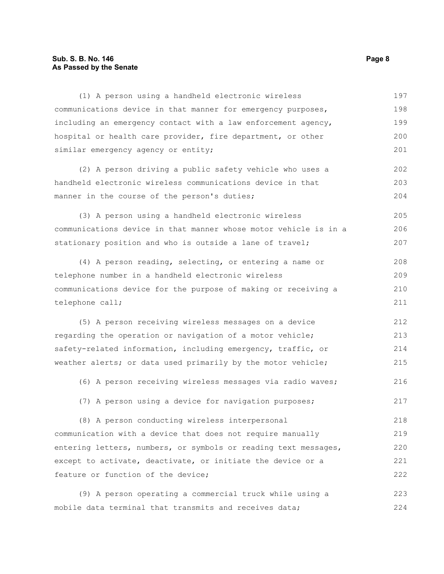### **Sub. S. B. No. 146 Page 8 As Passed by the Senate**

| (1) A person using a handheld electronic wireless                | 197 |
|------------------------------------------------------------------|-----|
| communications device in that manner for emergency purposes,     | 198 |
| including an emergency contact with a law enforcement agency,    | 199 |
| hospital or health care provider, fire department, or other      | 200 |
| similar emergency agency or entity;                              | 201 |
| (2) A person driving a public safety vehicle who uses a          | 202 |
| handheld electronic wireless communications device in that       | 203 |
| manner in the course of the person's duties;                     | 204 |
| (3) A person using a handheld electronic wireless                | 205 |
| communications device in that manner whose motor vehicle is in a | 206 |
| stationary position and who is outside a lane of travel;         | 207 |
| (4) A person reading, selecting, or entering a name or           | 208 |
| telephone number in a handheld electronic wireless               | 209 |
| communications device for the purpose of making or receiving a   | 210 |
| telephone call;                                                  | 211 |
| (5) A person receiving wireless messages on a device             | 212 |
| regarding the operation or navigation of a motor vehicle;        | 213 |
| safety-related information, including emergency, traffic, or     | 214 |
| weather alerts; or data used primarily by the motor vehicle;     | 215 |
| (6) A person receiving wireless messages via radio waves;        | 216 |
| (7) A person using a device for navigation purposes;             | 217 |
| (8) A person conducting wireless interpersonal                   | 218 |
| communication with a device that does not require manually       | 219 |
| entering letters, numbers, or symbols or reading text messages,  | 220 |
| except to activate, deactivate, or initiate the device or a      | 221 |
| feature or function of the device;                               | 222 |
| (9) A person operating a commercial truck while using a          | 223 |
| mobile data terminal that transmits and receives data;           | 224 |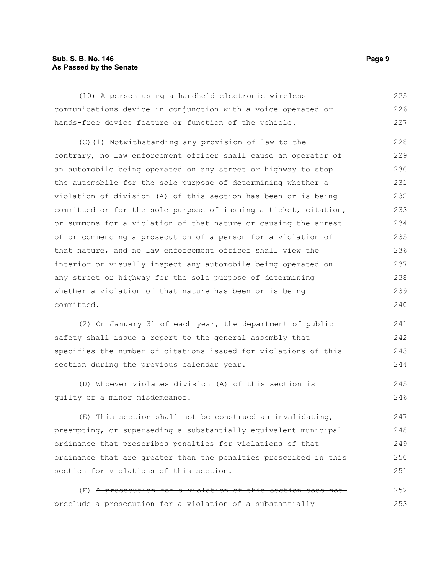#### **Sub. S. B. No. 146 Page 9 As Passed by the Senate**

(10) A person using a handheld electronic wireless communications device in conjunction with a voice-operated or hands-free device feature or function of the vehicle. 225 226 227

(C)(1) Notwithstanding any provision of law to the contrary, no law enforcement officer shall cause an operator of an automobile being operated on any street or highway to stop the automobile for the sole purpose of determining whether a violation of division (A) of this section has been or is being committed or for the sole purpose of issuing a ticket, citation, or summons for a violation of that nature or causing the arrest of or commencing a prosecution of a person for a violation of that nature, and no law enforcement officer shall view the interior or visually inspect any automobile being operated on any street or highway for the sole purpose of determining whether a violation of that nature has been or is being committed. 228 229 230 231 232 233 234 235 236 237 238 239 240

(2) On January 31 of each year, the department of public safety shall issue a report to the general assembly that specifies the number of citations issued for violations of this section during the previous calendar year. 241 242 243 244

(D) Whoever violates division (A) of this section is guilty of a minor misdemeanor. 245 246

(E) This section shall not be construed as invalidating, preempting, or superseding a substantially equivalent municipal ordinance that prescribes penalties for violations of that ordinance that are greater than the penalties prescribed in this section for violations of this section. 247 248 249 250 251

(F) A prosecution for a violation of this section does not preclude a prosecution for a violation of a substantially 252 253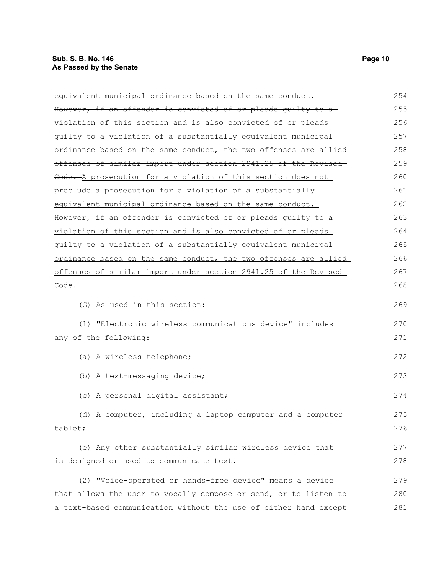| equivalent municipal ordinance based on the same conduct.        | 254 |
|------------------------------------------------------------------|-----|
| However, if an offender is convicted of or pleads quilty to a    | 255 |
| violation of this section and is also convicted of or pleads     | 256 |
| guilty to a violation of a substantially equivalent municipal    | 257 |
| ordinance based on the same conduct, the two offenses are allied | 258 |
| offenses of similar import under section 2941.25 of the Revised- | 259 |
| Code. A prosecution for a violation of this section does not     | 260 |
| preclude a prosecution for a violation of a substantially        | 261 |
| equivalent municipal ordinance based on the same conduct.        | 262 |
| However, if an offender is convicted of or pleads quilty to a    | 263 |
| violation of this section and is also convicted of or pleads     | 264 |
| guilty to a violation of a substantially equivalent municipal    | 265 |
| ordinance based on the same conduct, the two offenses are allied | 266 |
| offenses of similar import under section 2941.25 of the Revised  | 267 |
| Code.                                                            | 268 |
|                                                                  |     |
| (G) As used in this section:                                     | 269 |
| (1) "Electronic wireless communications device" includes         | 270 |
| any of the following:                                            | 271 |
|                                                                  |     |
| (a) A wireless telephone;                                        | 272 |
| (b) A text-messaging device;                                     | 273 |
| (c) A personal digital assistant;                                | 274 |
| (d) A computer, including a laptop computer and a computer       | 275 |
| tablet;                                                          | 276 |
|                                                                  |     |
| (e) Any other substantially similar wireless device that         | 277 |
| is designed or used to communicate text.                         | 278 |
| (2) "Voice-operated or hands-free device" means a device         | 279 |
| that allows the user to vocally compose or send, or to listen to | 280 |
| a text-based communication without the use of either hand except | 281 |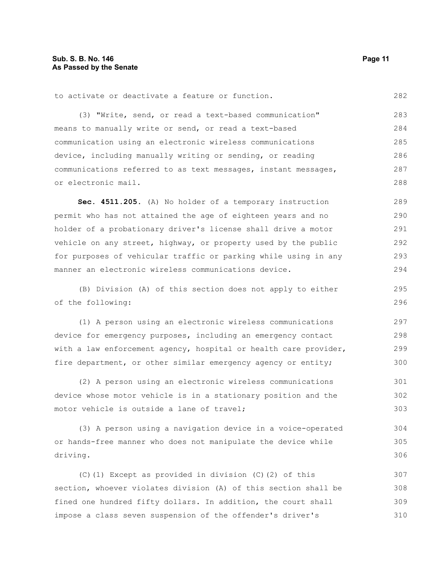to activate or deactivate a feature or function.

(3) "Write, send, or read a text-based communication" means to manually write or send, or read a text-based communication using an electronic wireless communications device, including manually writing or sending, or reading communications referred to as text messages, instant messages, or electronic mail. 283 284 285 286 287 288

**Sec. 4511.205.** (A) No holder of a temporary instruction permit who has not attained the age of eighteen years and no holder of a probationary driver's license shall drive a motor vehicle on any street, highway, or property used by the public for purposes of vehicular traffic or parking while using in any manner an electronic wireless communications device. 289 290 291 292 293 294

(B) Division (A) of this section does not apply to either of the following:

(1) A person using an electronic wireless communications device for emergency purposes, including an emergency contact with a law enforcement agency, hospital or health care provider, fire department, or other similar emergency agency or entity; 297 298 299 300

(2) A person using an electronic wireless communications device whose motor vehicle is in a stationary position and the motor vehicle is outside a lane of travel; 301 302 303

(3) A person using a navigation device in a voice-operated or hands-free manner who does not manipulate the device while driving. 304 305 306

(C)(1) Except as provided in division (C)(2) of this section, whoever violates division (A) of this section shall be fined one hundred fifty dollars. In addition, the court shall impose a class seven suspension of the offender's driver's 307 308 309 310

282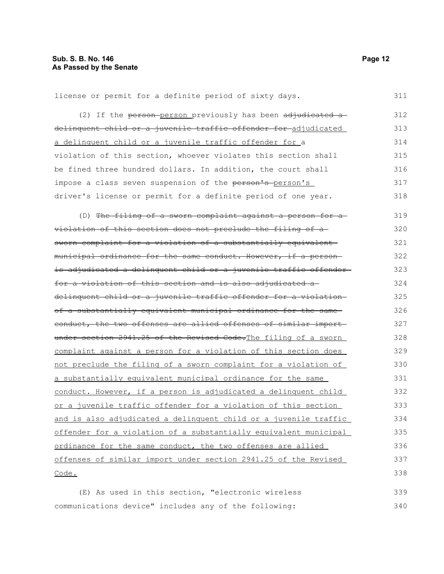license or permit for a definite period of sixty days. 311

(2) If the person-person previously has been adjudicated adelinquent child or a juvenile traffic offender for adjudicated a delinquent child or a juvenile traffic offender for a violation of this section, whoever violates this section shall be fined three hundred dollars. In addition, the court shall impose a class seven suspension of the person's person's driver's license or permit for a definite period of one year. 312 313 314 315 316 317 318

(D) The filing of a sworn complaint against a person for a violation of this section does not preclude the filing of a sworn complaint for a violation of a substantially equivalent municipal ordinance for the same conduct. However, if a personis adjudicated a delinquent child or a juvenile traffic offender for a violation of this section and is also adjudicated a delinquent child or a juvenile traffic offender for a violation of a substantially equivalent municipal ordinance for the same conduct, the two offenses are allied offenses of similar import under section 2941.25 of the Revised Code. The filing of a sworn complaint against a person for a violation of this section does not preclude the filing of a sworn complaint for a violation of a substantially equivalent municipal ordinance for the same conduct. However, if a person is adjudicated a delinquent child or a juvenile traffic offender for a violation of this section and is also adjudicated a delinquent child or a juvenile traffic offender for a violation of a substantially equivalent municipal ordinance for the same conduct, the two offenses are allied offenses of similar import under section 2941.25 of the Revised Code. 319 320 321 322 323 324 325 326 327 328 329 330 331 332 333 334 335 336 337 338

(E) As used in this section, "electronic wireless communications device" includes any of the following: 339 340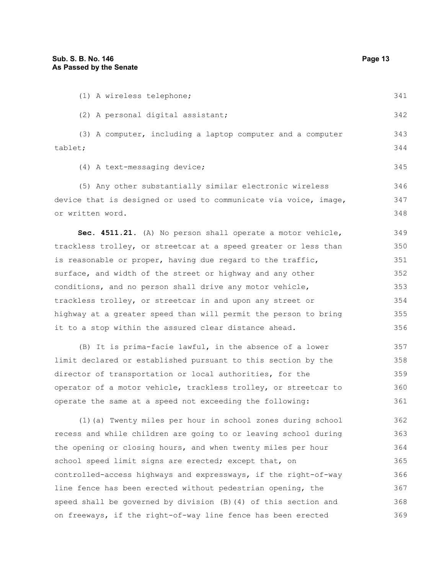| (1) A wireless telephone;                                                          | 341           |
|------------------------------------------------------------------------------------|---------------|
| (2) A personal digital assistant;                                                  | 342           |
| (3) A computer, including a laptop computer and a computer                         | 343           |
| tablet;                                                                            | 344           |
| (4) A text-messaging device;                                                       | 345           |
| (5) Any other substantially similar electronic wireless                            | 346           |
| device that is designed or used to communicate via voice, image,                   | 347           |
| or written word.                                                                   | 348           |
| Sec. 4511.21. (A) No person shall operate a motor vehicle,                         | 349           |
| trackless trolley, or streetcar at a speed greater or less than                    | 350           |
| is reasonable or proper, having due regard to the traffic,                         | 351           |
| surface, and width of the street or highway and any other                          | 352           |
| conditions, and no person shall drive any motor vehicle,                           | 353           |
| trackless trolley, or streetcar in and upon any street or                          | 354           |
| highway at a greater speed than will permit the person to bring                    | 355           |
| it to a stop within the assured clear distance ahead.                              | 356           |
| (B) It is prima-facie lawful, in the absence of a lower                            | 357           |
| limit declared or established pursuant to this section by the                      | 358           |
| director of transportation or local authorities, for the                           | 359           |
| operator of a motor vehicle, trackless trolley, or streetcar to                    | 360           |
| operate the same at a speed not exceeding the following:                           | 361           |
| <b>Advisor m</b> easure with a construction of a subset of a state of the state of | $\cap$ $\cap$ |

(1)(a) Twenty miles per hour in school zones during school recess and while children are going to or leaving school during the opening or closing hours, and when twenty miles per hour school speed limit signs are erected; except that, on controlled-access highways and expressways, if the right-of-way line fence has been erected without pedestrian opening, the speed shall be governed by division (B)(4) of this section and on freeways, if the right-of-way line fence has been erected 362 363 364 365 366 367 368 369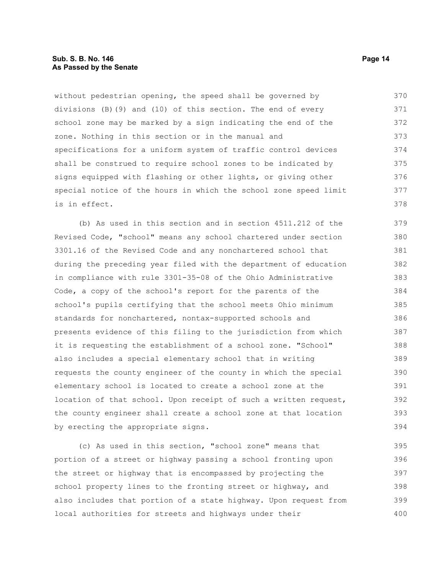without pedestrian opening, the speed shall be governed by divisions (B)(9) and (10) of this section. The end of every school zone may be marked by a sign indicating the end of the zone. Nothing in this section or in the manual and specifications for a uniform system of traffic control devices shall be construed to require school zones to be indicated by signs equipped with flashing or other lights, or giving other special notice of the hours in which the school zone speed limit is in effect. 370 371 372 373 374 375 376 377 378

(b) As used in this section and in section 4511.212 of the Revised Code, "school" means any school chartered under section 3301.16 of the Revised Code and any nonchartered school that during the preceding year filed with the department of education in compliance with rule 3301-35-08 of the Ohio Administrative Code, a copy of the school's report for the parents of the school's pupils certifying that the school meets Ohio minimum standards for nonchartered, nontax-supported schools and presents evidence of this filing to the jurisdiction from which it is requesting the establishment of a school zone. "School" also includes a special elementary school that in writing requests the county engineer of the county in which the special elementary school is located to create a school zone at the location of that school. Upon receipt of such a written request, the county engineer shall create a school zone at that location by erecting the appropriate signs. 379 380 381 382 383 384 385 386 387 388 389 390 391 392 393 394

(c) As used in this section, "school zone" means that portion of a street or highway passing a school fronting upon the street or highway that is encompassed by projecting the school property lines to the fronting street or highway, and also includes that portion of a state highway. Upon request from local authorities for streets and highways under their 395 396 397 398 399 400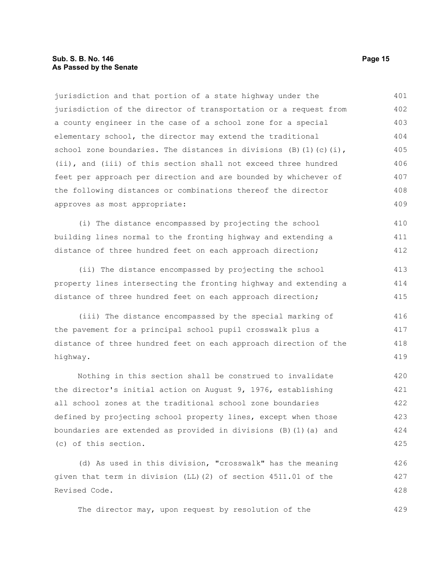#### **Sub. S. B. No. 146 Page 15 As Passed by the Senate**

jurisdiction and that portion of a state highway under the jurisdiction of the director of transportation or a request from a county engineer in the case of a school zone for a special elementary school, the director may extend the traditional school zone boundaries. The distances in divisions  $(B)$  (1)(c)(i), (ii), and (iii) of this section shall not exceed three hundred feet per approach per direction and are bounded by whichever of the following distances or combinations thereof the director approves as most appropriate: 401 402 403 404 405 406 407 408 409

(i) The distance encompassed by projecting the school building lines normal to the fronting highway and extending a distance of three hundred feet on each approach direction; 410 411 412

(ii) The distance encompassed by projecting the school property lines intersecting the fronting highway and extending a distance of three hundred feet on each approach direction; 413 414 415

(iii) The distance encompassed by the special marking of the pavement for a principal school pupil crosswalk plus a distance of three hundred feet on each approach direction of the highway. 416 417 418 419

Nothing in this section shall be construed to invalidate the director's initial action on August 9, 1976, establishing all school zones at the traditional school zone boundaries defined by projecting school property lines, except when those boundaries are extended as provided in divisions (B)(1)(a) and (c) of this section. 420 421 422 423 424 425

(d) As used in this division, "crosswalk" has the meaning given that term in division (LL)(2) of section 4511.01 of the Revised Code. 426 427 428

The director may, upon request by resolution of the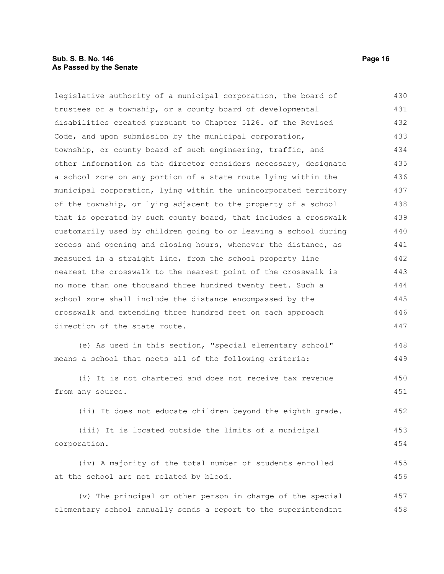#### **Sub. S. B. No. 146 Page 16 As Passed by the Senate**

legislative authority of a municipal corporation, the board of trustees of a township, or a county board of developmental disabilities created pursuant to Chapter 5126. of the Revised Code, and upon submission by the municipal corporation, township, or county board of such engineering, traffic, and other information as the director considers necessary, designate a school zone on any portion of a state route lying within the municipal corporation, lying within the unincorporated territory of the township, or lying adjacent to the property of a school that is operated by such county board, that includes a crosswalk customarily used by children going to or leaving a school during recess and opening and closing hours, whenever the distance, as measured in a straight line, from the school property line nearest the crosswalk to the nearest point of the crosswalk is no more than one thousand three hundred twenty feet. Such a school zone shall include the distance encompassed by the crosswalk and extending three hundred feet on each approach direction of the state route. (e) As used in this section, "special elementary school" means a school that meets all of the following criteria: (i) It is not chartered and does not receive tax revenue from any source. (ii) It does not educate children beyond the eighth grade. (iii) It is located outside the limits of a municipal corporation. (iv) A majority of the total number of students enrolled at the school are not related by blood. (v) The principal or other person in charge of the special 430 431 432 433 434 435 436 437 438 439 440 441 442 443 444 445 446 447 448 449 450 451 452 453 454 455 456 457

elementary school annually sends a report to the superintendent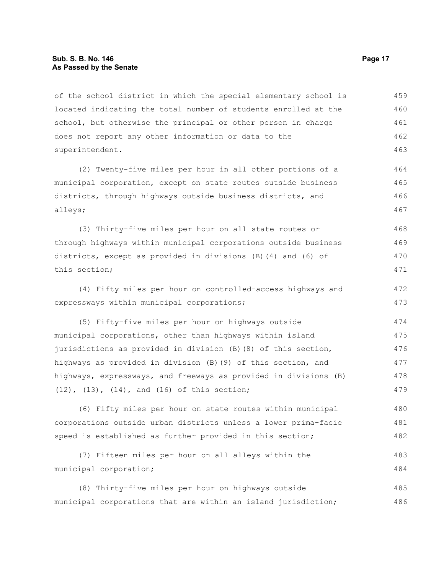of the school district in which the special elementary school is located indicating the total number of students enrolled at the school, but otherwise the principal or other person in charge does not report any other information or data to the superintendent. 459 460 461 462 463

(2) Twenty-five miles per hour in all other portions of a municipal corporation, except on state routes outside business districts, through highways outside business districts, and alleys; 464 465 466 467

(3) Thirty-five miles per hour on all state routes or through highways within municipal corporations outside business districts, except as provided in divisions (B)(4) and (6) of this section; 468 469 470 471

(4) Fifty miles per hour on controlled-access highways and expressways within municipal corporations;

(5) Fifty-five miles per hour on highways outside municipal corporations, other than highways within island jurisdictions as provided in division (B)(8) of this section, highways as provided in division (B)(9) of this section, and highways, expressways, and freeways as provided in divisions (B) (12), (13), (14), and (16) of this section; 474 475 476 477 478 479

(6) Fifty miles per hour on state routes within municipal corporations outside urban districts unless a lower prima-facie speed is established as further provided in this section; 480 481 482

| (7) Fifteen miles per hour on all alleys within the |  |  |  | 483 |
|-----------------------------------------------------|--|--|--|-----|
| municipal corporation;                              |  |  |  | 484 |

(8) Thirty-five miles per hour on highways outside municipal corporations that are within an island jurisdiction; 485 486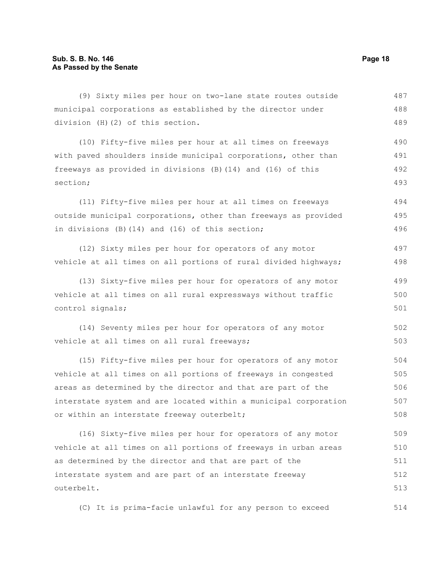outerbelt.

(9) Sixty miles per hour on two-lane state routes outside municipal corporations as established by the director under division (H)(2) of this section. (10) Fifty-five miles per hour at all times on freeways with paved shoulders inside municipal corporations, other than freeways as provided in divisions (B)(14) and (16) of this section; (11) Fifty-five miles per hour at all times on freeways outside municipal corporations, other than freeways as provided in divisions (B)(14) and (16) of this section; (12) Sixty miles per hour for operators of any motor vehicle at all times on all portions of rural divided highways; (13) Sixty-five miles per hour for operators of any motor vehicle at all times on all rural expressways without traffic control signals; (14) Seventy miles per hour for operators of any motor vehicle at all times on all rural freeways; (15) Fifty-five miles per hour for operators of any motor vehicle at all times on all portions of freeways in congested areas as determined by the director and that are part of the interstate system and are located within a municipal corporation or within an interstate freeway outerbelt; (16) Sixty-five miles per hour for operators of any motor vehicle at all times on all portions of freeways in urban areas as determined by the director and that are part of the interstate system and are part of an interstate freeway 487 488 489 490 491 492 493 494 495 496 497 498 499 500 501 502 503 504 505 506 507 508 509 510 511 512

(C) It is prima-facie unlawful for any person to exceed 514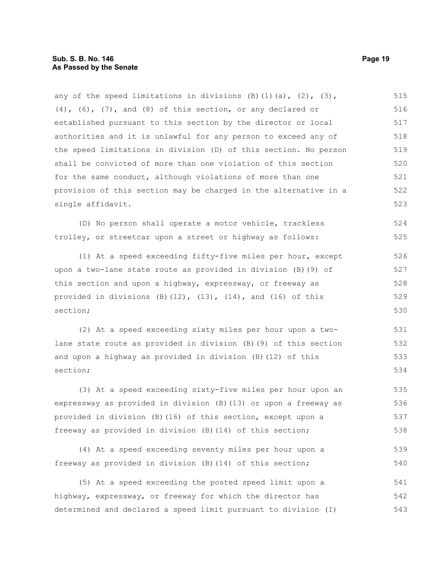#### **Sub. S. B. No. 146 Page 19 As Passed by the Senate**

any of the speed limitations in divisions  $(B)$   $(1)$   $(a)$ ,  $(2)$ ,  $(3)$ , (4), (6), (7), and (8) of this section, or any declared or established pursuant to this section by the director or local authorities and it is unlawful for any person to exceed any of the speed limitations in division (D) of this section. No person shall be convicted of more than one violation of this section for the same conduct, although violations of more than one provision of this section may be charged in the alternative in a single affidavit. (D) No person shall operate a motor vehicle, trackless trolley, or streetcar upon a street or highway as follows: (1) At a speed exceeding fifty-five miles per hour, except upon a two-lane state route as provided in division (B)(9) of this section and upon a highway, expressway, or freeway as provided in divisions (B)(12), (13), (14), and (16) of this section; (2) At a speed exceeding sixty miles per hour upon a twolane state route as provided in division (B)(9) of this section and upon a highway as provided in division (B)(12) of this section; (3) At a speed exceeding sixty-five miles per hour upon an expressway as provided in division (B)(13) or upon a freeway as provided in division (B)(16) of this section, except upon a freeway as provided in division (B)(14) of this section; (4) At a speed exceeding seventy miles per hour upon a freeway as provided in division (B)(14) of this section; (5) At a speed exceeding the posted speed limit upon a 515 516 517 518 519 520 521 522 523 524 525 526 527 528 529 530 531 532 533 534 535 536 537 538 539 540 541

highway, expressway, or freeway for which the director has determined and declared a speed limit pursuant to division (I) 542 543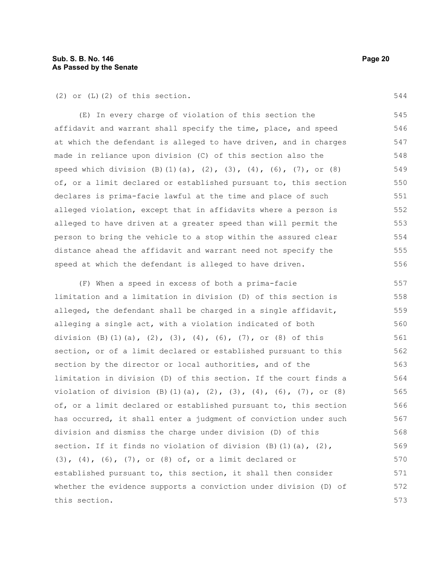(2) or (L)(2) of this section.

(E) In every charge of violation of this section the affidavit and warrant shall specify the time, place, and speed at which the defendant is alleged to have driven, and in charges made in reliance upon division (C) of this section also the speed which division (B)(1)(a), (2), (3), (4), (6), (7), or (8) of, or a limit declared or established pursuant to, this section declares is prima-facie lawful at the time and place of such alleged violation, except that in affidavits where a person is alleged to have driven at a greater speed than will permit the person to bring the vehicle to a stop within the assured clear distance ahead the affidavit and warrant need not specify the speed at which the defendant is alleged to have driven. 545 546 547 548 549 550 551 552 553 554 555 556

(F) When a speed in excess of both a prima-facie limitation and a limitation in division (D) of this section is alleged, the defendant shall be charged in a single affidavit, alleging a single act, with a violation indicated of both division (B)(1)(a), (2), (3), (4), (6), (7), or (8) of this section, or of a limit declared or established pursuant to this section by the director or local authorities, and of the limitation in division (D) of this section. If the court finds a violation of division  $(B) (1) (a)$ ,  $(2)$ ,  $(3)$ ,  $(4)$ ,  $(6)$ ,  $(7)$ , or  $(8)$ of, or a limit declared or established pursuant to, this section has occurred, it shall enter a judgment of conviction under such division and dismiss the charge under division (D) of this section. If it finds no violation of division  $(B) (1) (a)$ ,  $(2)$ , (3), (4), (6), (7), or (8) of, or a limit declared or established pursuant to, this section, it shall then consider whether the evidence supports a conviction under division (D) of this section. 557 558 559 560 561 562 563 564 565 566 567 568 569 570 571 572 573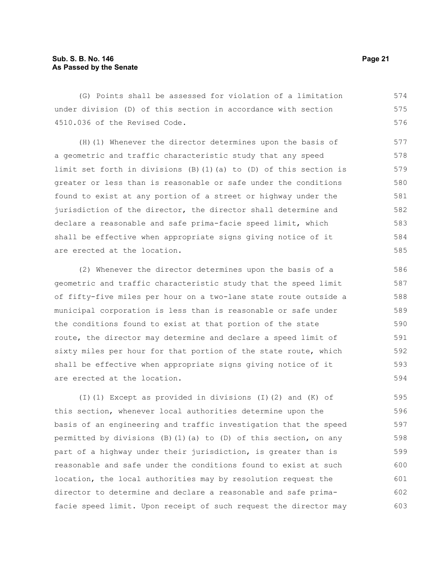(G) Points shall be assessed for violation of a limitation under division (D) of this section in accordance with section 4510.036 of the Revised Code. 574 575 576

(H)(1) Whenever the director determines upon the basis of a geometric and traffic characteristic study that any speed limit set forth in divisions (B)(1)(a) to (D) of this section is greater or less than is reasonable or safe under the conditions found to exist at any portion of a street or highway under the jurisdiction of the director, the director shall determine and declare a reasonable and safe prima-facie speed limit, which shall be effective when appropriate signs giving notice of it are erected at the location. 577 578 579 580 581 582 583 584 585

(2) Whenever the director determines upon the basis of a geometric and traffic characteristic study that the speed limit of fifty-five miles per hour on a two-lane state route outside a municipal corporation is less than is reasonable or safe under the conditions found to exist at that portion of the state route, the director may determine and declare a speed limit of sixty miles per hour for that portion of the state route, which shall be effective when appropriate signs giving notice of it are erected at the location.

(I)(1) Except as provided in divisions (I)(2) and (K) of this section, whenever local authorities determine upon the basis of an engineering and traffic investigation that the speed permitted by divisions  $(B)(1)(a)$  to  $(D)$  of this section, on any part of a highway under their jurisdiction, is greater than is reasonable and safe under the conditions found to exist at such location, the local authorities may by resolution request the director to determine and declare a reasonable and safe primafacie speed limit. Upon receipt of such request the director may 595 596 597 598 599 600 601 602 603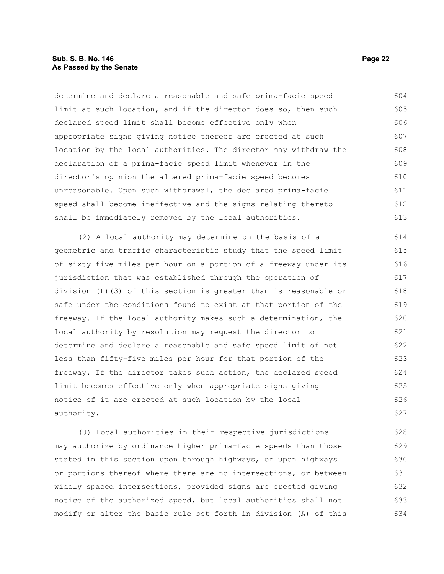determine and declare a reasonable and safe prima-facie speed limit at such location, and if the director does so, then such declared speed limit shall become effective only when appropriate signs giving notice thereof are erected at such location by the local authorities. The director may withdraw the declaration of a prima-facie speed limit whenever in the director's opinion the altered prima-facie speed becomes unreasonable. Upon such withdrawal, the declared prima-facie speed shall become ineffective and the signs relating thereto shall be immediately removed by the local authorities. 604 605 606 607 608 609 610 611 612 613

(2) A local authority may determine on the basis of a geometric and traffic characteristic study that the speed limit of sixty-five miles per hour on a portion of a freeway under its jurisdiction that was established through the operation of division (L)(3) of this section is greater than is reasonable or safe under the conditions found to exist at that portion of the freeway. If the local authority makes such a determination, the local authority by resolution may request the director to determine and declare a reasonable and safe speed limit of not less than fifty-five miles per hour for that portion of the freeway. If the director takes such action, the declared speed limit becomes effective only when appropriate signs giving notice of it are erected at such location by the local authority. 614 615 616 617 618 619 620 621 622 623 624 625 626 627

(J) Local authorities in their respective jurisdictions may authorize by ordinance higher prima-facie speeds than those stated in this section upon through highways, or upon highways or portions thereof where there are no intersections, or between widely spaced intersections, provided signs are erected giving notice of the authorized speed, but local authorities shall not modify or alter the basic rule set forth in division (A) of this 628 629 630 631 632 633 634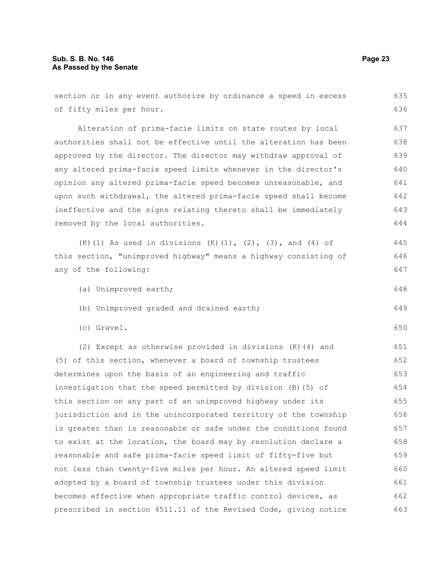| section or in any event authorize by ordinance a speed in excess | 635 |
|------------------------------------------------------------------|-----|
| of fifty miles per hour.                                         | 636 |
| Alteration of prima-facie limits on state routes by local        | 637 |
| authorities shall not be effective until the alteration has been | 638 |
| approved by the director. The director may withdraw approval of  | 639 |
| any altered prima-facie speed limits whenever in the director's  | 640 |
| opinion any altered prima-facie speed becomes unreasonable, and  | 641 |
| upon such withdrawal, the altered prima-facie speed shall become | 642 |
| ineffective and the signs relating thereto shall be immediately  | 643 |
| removed by the local authorities.                                | 644 |
| $(K)$ (1) As used in divisions $(K)$ (1), (2), (3), and (4) of   | 645 |
| this section, "unimproved highway" means a highway consisting of | 646 |
| any of the following:                                            | 647 |
| (a) Unimproved earth;                                            | 648 |
| (b) Unimproved graded and drained earth;                         | 649 |
| (c) Gravel.                                                      | 650 |
| (2) Except as otherwise provided in divisions (K) (4) and        | 651 |
| (5) of this section, whenever a board of township trustees       | 652 |
| determines upon the basis of an engineering and traffic          | 653 |
| investigation that the speed permitted by division (B) (5) of    | 654 |
| this section on any part of an unimproved highway under its      | 655 |
| jurisdiction and in the unincorporated territory of the township | 656 |
| is greater than is reasonable or safe under the conditions found | 657 |
| to exist at the location, the board may by resolution declare a  | 658 |
| reasonable and safe prima-facie speed limit of fifty-five but    | 659 |
| not less than twenty-five miles per hour. An altered speed limit | 660 |
| adopted by a board of township trustees under this division      | 661 |
| becomes effective when appropriate traffic control devices, as   | 662 |
| prescribed in section 4511.11 of the Revised Code, giving notice | 663 |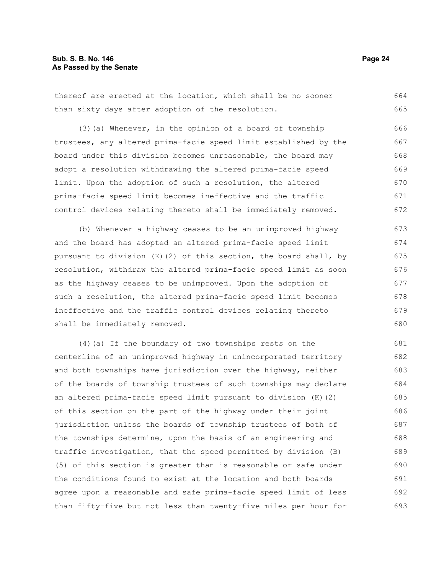#### **Sub. S. B. No. 146 Page 24 As Passed by the Senate**

thereof are erected at the location, which shall be no sooner than sixty days after adoption of the resolution. 664 665

(3)(a) Whenever, in the opinion of a board of township trustees, any altered prima-facie speed limit established by the board under this division becomes unreasonable, the board may adopt a resolution withdrawing the altered prima-facie speed limit. Upon the adoption of such a resolution, the altered prima-facie speed limit becomes ineffective and the traffic control devices relating thereto shall be immediately removed. 666 667 668 669 670 671 672

(b) Whenever a highway ceases to be an unimproved highway and the board has adopted an altered prima-facie speed limit pursuant to division  $(K)(2)$  of this section, the board shall, by resolution, withdraw the altered prima-facie speed limit as soon as the highway ceases to be unimproved. Upon the adoption of such a resolution, the altered prima-facie speed limit becomes ineffective and the traffic control devices relating thereto shall be immediately removed. 673 674 675 676 677 678 679 680

(4)(a) If the boundary of two townships rests on the centerline of an unimproved highway in unincorporated territory and both townships have jurisdiction over the highway, neither of the boards of township trustees of such townships may declare an altered prima-facie speed limit pursuant to division (K)(2) of this section on the part of the highway under their joint jurisdiction unless the boards of township trustees of both of the townships determine, upon the basis of an engineering and traffic investigation, that the speed permitted by division (B) (5) of this section is greater than is reasonable or safe under the conditions found to exist at the location and both boards agree upon a reasonable and safe prima-facie speed limit of less than fifty-five but not less than twenty-five miles per hour for 681 682 683 684 685 686 687 688 689 690 691 692 693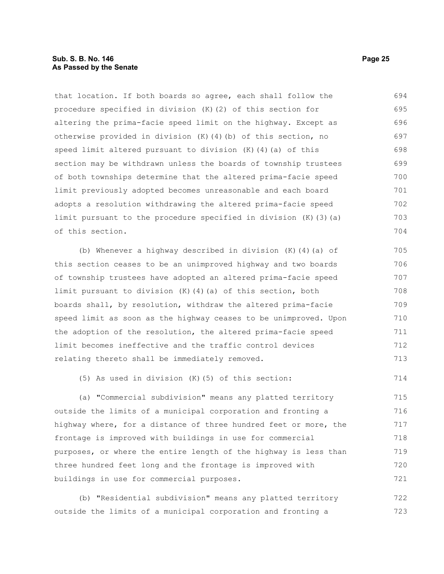that location. If both boards so agree, each shall follow the procedure specified in division (K)(2) of this section for altering the prima-facie speed limit on the highway. Except as otherwise provided in division (K)(4)(b) of this section, no speed limit altered pursuant to division (K)(4)(a) of this section may be withdrawn unless the boards of township trustees of both townships determine that the altered prima-facie speed limit previously adopted becomes unreasonable and each board adopts a resolution withdrawing the altered prima-facie speed limit pursuant to the procedure specified in division  $(K)$  (3)(a) of this section. 694 695 696 697 698 699 700 701 702 703 704

(b) Whenever a highway described in division (K)(4)(a) of this section ceases to be an unimproved highway and two boards of township trustees have adopted an altered prima-facie speed limit pursuant to division (K)(4)(a) of this section, both boards shall, by resolution, withdraw the altered prima-facie speed limit as soon as the highway ceases to be unimproved. Upon the adoption of the resolution, the altered prima-facie speed limit becomes ineffective and the traffic control devices relating thereto shall be immediately removed. 705 706 707 708 709 710 711 712 713

(5) As used in division (K)(5) of this section:

(a) "Commercial subdivision" means any platted territory outside the limits of a municipal corporation and fronting a highway where, for a distance of three hundred feet or more, the frontage is improved with buildings in use for commercial purposes, or where the entire length of the highway is less than three hundred feet long and the frontage is improved with buildings in use for commercial purposes. 715 716 717 718 719 720 721

(b) "Residential subdivision" means any platted territory outside the limits of a municipal corporation and fronting a 722 723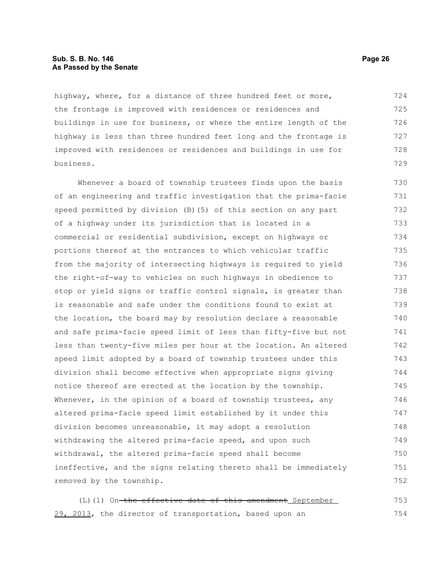#### **Sub. S. B. No. 146 Page 26 As Passed by the Senate**

highway, where, for a distance of three hundred feet or more, the frontage is improved with residences or residences and buildings in use for business, or where the entire length of the highway is less than three hundred feet long and the frontage is improved with residences or residences and buildings in use for business. 724 725 726 727 728 729

Whenever a board of township trustees finds upon the basis of an engineering and traffic investigation that the prima-facie speed permitted by division (B)(5) of this section on any part of a highway under its jurisdiction that is located in a commercial or residential subdivision, except on highways or portions thereof at the entrances to which vehicular traffic from the majority of intersecting highways is required to yield the right-of-way to vehicles on such highways in obedience to stop or yield signs or traffic control signals, is greater than is reasonable and safe under the conditions found to exist at the location, the board may by resolution declare a reasonable and safe prima-facie speed limit of less than fifty-five but not less than twenty-five miles per hour at the location. An altered speed limit adopted by a board of township trustees under this division shall become effective when appropriate signs giving notice thereof are erected at the location by the township. Whenever, in the opinion of a board of township trustees, any altered prima-facie speed limit established by it under this division becomes unreasonable, it may adopt a resolution withdrawing the altered prima-facie speed, and upon such withdrawal, the altered prima-facie speed shall become ineffective, and the signs relating thereto shall be immediately removed by the township. 730 731 732 733 734 735 736 737 738 739 740 741 742 743 744 745 746 747 748 749 750 751 752

(L)(1) On-the effective date of this amendment September 29, 2013, the director of transportation, based upon an 753 754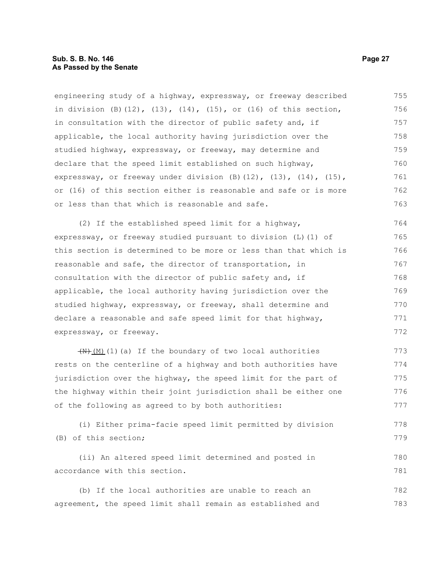engineering study of a highway, expressway, or freeway described in division  $(B)$   $(12)$ ,  $(13)$ ,  $(14)$ ,  $(15)$ , or  $(16)$  of this section, in consultation with the director of public safety and, if applicable, the local authority having jurisdiction over the studied highway, expressway, or freeway, may determine and declare that the speed limit established on such highway, expressway, or freeway under division  $(B)$ (12),  $(13)$ ,  $(14)$ ,  $(15)$ , or (16) of this section either is reasonable and safe or is more or less than that which is reasonable and safe. 755 756 757 758 759 760 761 762 763

(2) If the established speed limit for a highway, expressway, or freeway studied pursuant to division (L)(1) of this section is determined to be more or less than that which is reasonable and safe, the director of transportation, in consultation with the director of public safety and, if applicable, the local authority having jurisdiction over the studied highway, expressway, or freeway, shall determine and declare a reasonable and safe speed limit for that highway, expressway, or freeway. 764 765 766 767 768 769 770 771 772

 $\frac{(\mathbb{N})^{\mathbb{N}}(\mathbb{M})}{(\mathbb{N})^{\mathbb{N}}}$  (1)(a) If the boundary of two local authorities rests on the centerline of a highway and both authorities have jurisdiction over the highway, the speed limit for the part of the highway within their joint jurisdiction shall be either one of the following as agreed to by both authorities: 773 774 775 776 777

(i) Either prima-facie speed limit permitted by division (B) of this section; 778 779

(ii) An altered speed limit determined and posted in accordance with this section. 780 781

(b) If the local authorities are unable to reach an agreement, the speed limit shall remain as established and 782 783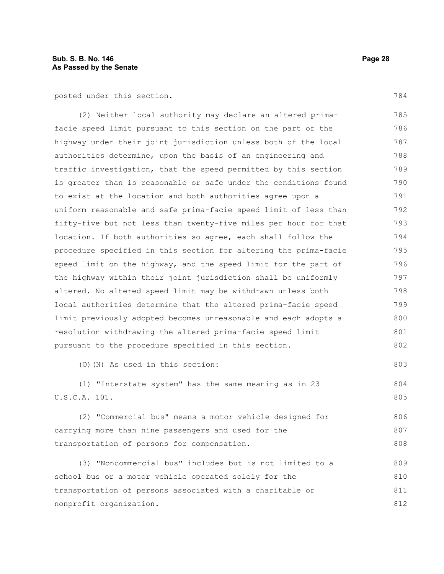posted under this section.

(2) Neither local authority may declare an altered primafacie speed limit pursuant to this section on the part of the highway under their joint jurisdiction unless both of the local authorities determine, upon the basis of an engineering and traffic investigation, that the speed permitted by this section is greater than is reasonable or safe under the conditions found to exist at the location and both authorities agree upon a uniform reasonable and safe prima-facie speed limit of less than fifty-five but not less than twenty-five miles per hour for that location. If both authorities so agree, each shall follow the procedure specified in this section for altering the prima-facie speed limit on the highway, and the speed limit for the part of the highway within their joint jurisdiction shall be uniformly altered. No altered speed limit may be withdrawn unless both local authorities determine that the altered prima-facie speed limit previously adopted becomes unreasonable and each adopts a resolution withdrawing the altered prima-facie speed limit pursuant to the procedure specified in this section.  $\overline{+0}$ (N) As used in this section: 785 786 787 788 789 790 791 792 793 794 795 796 797 798 799 800 801 802 803

(1) "Interstate system" has the same meaning as in 23 U.S.C.A. 101. 804 805

(2) "Commercial bus" means a motor vehicle designed for carrying more than nine passengers and used for the transportation of persons for compensation. 806 807 808

(3) "Noncommercial bus" includes but is not limited to a school bus or a motor vehicle operated solely for the transportation of persons associated with a charitable or nonprofit organization. 809 810 811 812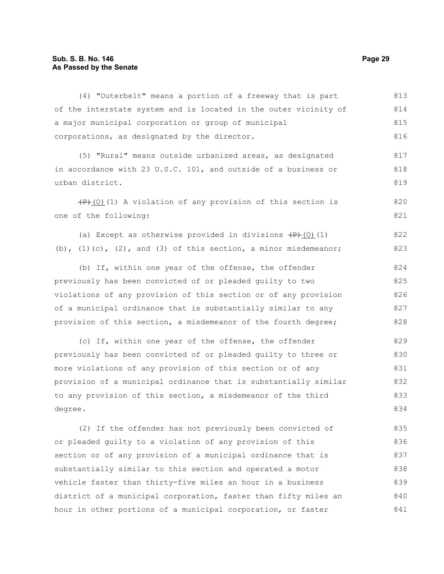#### **Sub. S. B. No. 146 Page 29 As Passed by the Senate**

(4) "Outerbelt" means a portion of a freeway that is part of the interstate system and is located in the outer vicinity of a major municipal corporation or group of municipal corporations, as designated by the director. 813 814 815 816

(5) "Rural" means outside urbanized areas, as designated in accordance with 23 U.S.C. 101, and outside of a business or urban district. 817 818 819

 $(\overline{P}(0)(1))$  A violation of any provision of this section is one of the following: 820 821

(a) Except as otherwise provided in divisions  $(P)$  (0)(1) (b),  $(1)(c)$ ,  $(2)$ , and  $(3)$  of this section, a minor misdemeanor; 822 823

(b) If, within one year of the offense, the offender previously has been convicted of or pleaded guilty to two violations of any provision of this section or of any provision of a municipal ordinance that is substantially similar to any provision of this section, a misdemeanor of the fourth degree; 824 825 826 827 828

(c) If, within one year of the offense, the offender previously has been convicted of or pleaded guilty to three or more violations of any provision of this section or of any provision of a municipal ordinance that is substantially similar to any provision of this section, a misdemeanor of the third degree. 829 830 831 832 833 834

(2) If the offender has not previously been convicted of or pleaded guilty to a violation of any provision of this section or of any provision of a municipal ordinance that is substantially similar to this section and operated a motor vehicle faster than thirty-five miles an hour in a business district of a municipal corporation, faster than fifty miles an hour in other portions of a municipal corporation, or faster 835 836 837 838 839 840 841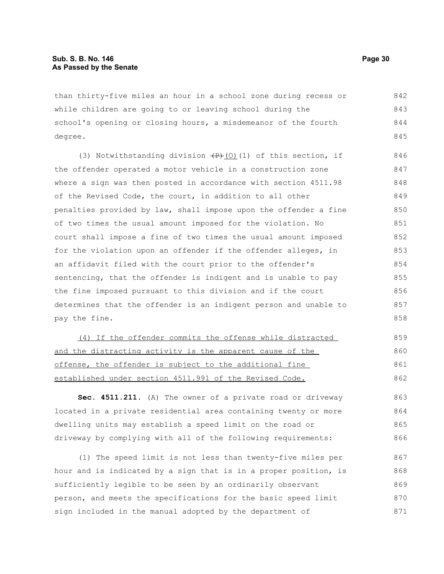than thirty-five miles an hour in a school zone during recess or while children are going to or leaving school during the school's opening or closing hours, a misdemeanor of the fourth degree. 842 843 844 845

(3) Notwithstanding division  $(P)$  (O)(1) of this section, if the offender operated a motor vehicle in a construction zone where a sign was then posted in accordance with section 4511.98 of the Revised Code, the court, in addition to all other penalties provided by law, shall impose upon the offender a fine of two times the usual amount imposed for the violation. No court shall impose a fine of two times the usual amount imposed for the violation upon an offender if the offender alleges, in an affidavit filed with the court prior to the offender's sentencing, that the offender is indigent and is unable to pay the fine imposed pursuant to this division and if the court determines that the offender is an indigent person and unable to pay the fine. 846 847 848 849 850 851 852 853 854 855 856 857 858

(4) If the offender commits the offense while distracted and the distracting activity is the apparent cause of the offense, the offender is subject to the additional fine established under section 4511.991 of the Revised Code. 859 860 861 862

**Sec. 4511.211.** (A) The owner of a private road or driveway located in a private residential area containing twenty or more dwelling units may establish a speed limit on the road or driveway by complying with all of the following requirements: 863 864 865 866

(1) The speed limit is not less than twenty-five miles per hour and is indicated by a sign that is in a proper position, is sufficiently legible to be seen by an ordinarily observant person, and meets the specifications for the basic speed limit sign included in the manual adopted by the department of 867 868 869 870 871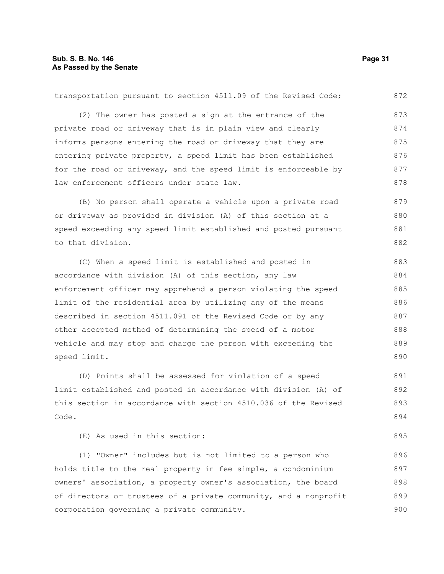| transportation pursuant to section 4511.09 of the Revised Code; | 872 |
|-----------------------------------------------------------------|-----|
| (2) The owner has posted a sign at the entrance of the          | 873 |
| private road or driveway that is in plain view and clearly      | 874 |
| informs persons entering the road or driveway that they are     | 875 |
| entering private property, a speed limit has been established   | 876 |
| for the road or driveway, and the speed limit is enforceable by | 877 |
| law enforcement officers under state law.                       | 878 |
| (B) No person shall operate a vehicle upon a private road       | 879 |
| or driveway as provided in division (A) of this section at a    | 880 |
| speed exceeding any speed limit established and posted pursuant | 881 |
| to that division.                                               | 882 |
| (C) When a speed limit is established and posted in             | 883 |
| accordance with division (A) of this section, any law           | 884 |
| enforcement officer may apprehend a person violating the speed  | 885 |
| limit of the residential area by utilizing any of the means     | 886 |
| described in section 4511.091 of the Revised Code or by any     | 887 |
| other accepted method of determining the speed of a motor       | 888 |
| vehicle and may stop and charge the person with exceeding the   | 889 |
| speed limit.                                                    | 890 |
| (D) Points shall be assessed for violation of a speed           | 891 |
| limit established and posted in accordance with division (A) of | 892 |
| this section in accordance with section 4510.036 of the Revised | 893 |
| Code.                                                           | 894 |
| (E) As used in this section:                                    | 895 |

(1) "Owner" includes but is not limited to a person who holds title to the real property in fee simple, a condominium owners' association, a property owner's association, the board of directors or trustees of a private community, and a nonprofit corporation governing a private community. 896 897 898 899 900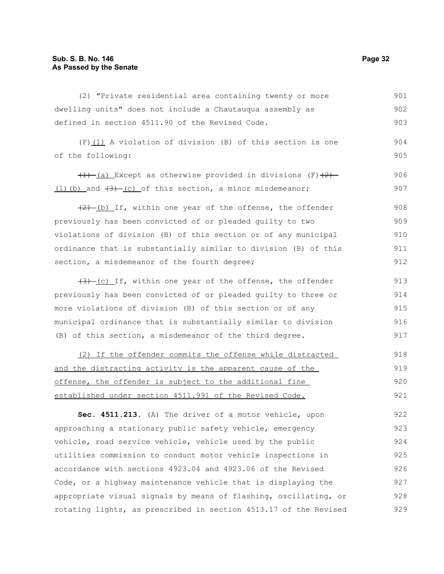(2) "Private residential area containing twenty or more dwelling units" does not include a Chautauqua assembly as defined in section 4511.90 of the Revised Code. 901 902 903

 $(F)$  (1) A violation of division (B) of this section is one of the following: 904 905

 $(1)$  (a) Except as otherwise provided in divisions (F) $(2)$ (1)(b) and  $(3)$  (c) of this section, a minor misdemeanor; 906 907

 $(2)$  (b) If, within one year of the offense, the offender previously has been convicted of or pleaded guilty to two violations of division (B) of this section or of any municipal ordinance that is substantially similar to division (B) of this section, a misdemeanor of the fourth degree; 908 909 910 911 912

 $(3)$  (c) If, within one year of the offense, the offender previously has been convicted of or pleaded guilty to three or more violations of division (B) of this section or of any municipal ordinance that is substantially similar to division (B) of this section, a misdemeanor of the third degree. 913 914 915 916 917

| (2) If the offender commits the offense while distracted  | 918 |
|-----------------------------------------------------------|-----|
| and the distracting activity is the apparent cause of the | 919 |
| offense, the offender is subject to the additional fine   | 920 |
| established under section 4511.991 of the Revised Code.   | 921 |

**Sec. 4511.213.** (A) The driver of a motor vehicle, upon approaching a stationary public safety vehicle, emergency vehicle, road service vehicle, vehicle used by the public utilities commission to conduct motor vehicle inspections in accordance with sections 4923.04 and 4923.06 of the Revised Code, or a highway maintenance vehicle that is displaying the appropriate visual signals by means of flashing, oscillating, or rotating lights, as prescribed in section 4513.17 of the Revised 922 923 924 925 926 927 928 929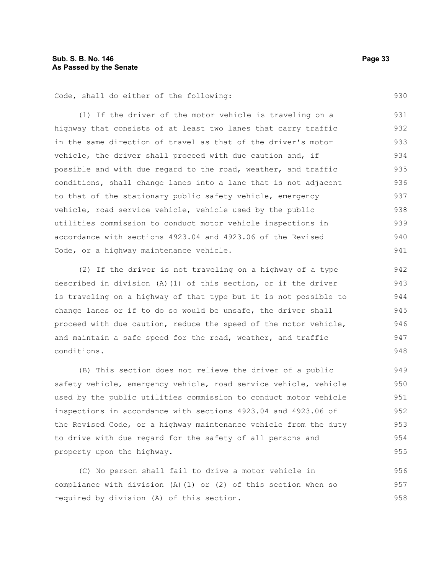Code, shall do either of the following:

(1) If the driver of the motor vehicle is traveling on a highway that consists of at least two lanes that carry traffic in the same direction of travel as that of the driver's motor vehicle, the driver shall proceed with due caution and, if possible and with due regard to the road, weather, and traffic conditions, shall change lanes into a lane that is not adjacent to that of the stationary public safety vehicle, emergency vehicle, road service vehicle, vehicle used by the public utilities commission to conduct motor vehicle inspections in accordance with sections 4923.04 and 4923.06 of the Revised Code, or a highway maintenance vehicle. 931 932 933 934 935 936 937 938 939 940 941

(2) If the driver is not traveling on a highway of a type described in division (A)(1) of this section, or if the driver is traveling on a highway of that type but it is not possible to change lanes or if to do so would be unsafe, the driver shall proceed with due caution, reduce the speed of the motor vehicle, and maintain a safe speed for the road, weather, and traffic conditions.

(B) This section does not relieve the driver of a public safety vehicle, emergency vehicle, road service vehicle, vehicle used by the public utilities commission to conduct motor vehicle inspections in accordance with sections 4923.04 and 4923.06 of the Revised Code, or a highway maintenance vehicle from the duty to drive with due regard for the safety of all persons and property upon the highway. 949 950 951 952 953 954 955

(C) No person shall fail to drive a motor vehicle in compliance with division (A)(1) or (2) of this section when so required by division (A) of this section. 956 957 958

930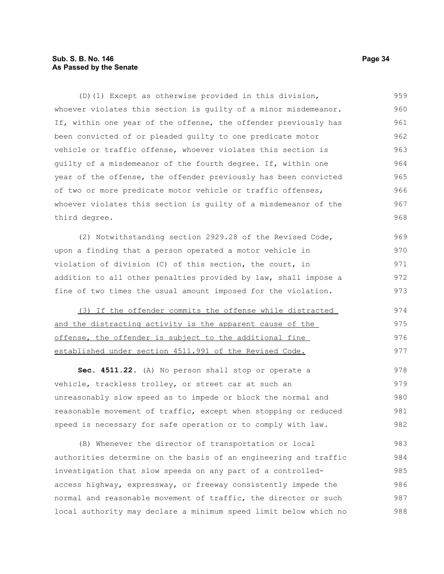#### **Sub. S. B. No. 146 Page 34 As Passed by the Senate**

(D)(1) Except as otherwise provided in this division, whoever violates this section is guilty of a minor misdemeanor. If, within one year of the offense, the offender previously has been convicted of or pleaded guilty to one predicate motor vehicle or traffic offense, whoever violates this section is guilty of a misdemeanor of the fourth degree. If, within one year of the offense, the offender previously has been convicted of two or more predicate motor vehicle or traffic offenses, whoever violates this section is guilty of a misdemeanor of the third degree. 959 960 961 962 963 964 965 966 967 968

(2) Notwithstanding section 2929.28 of the Revised Code, upon a finding that a person operated a motor vehicle in violation of division (C) of this section, the court, in addition to all other penalties provided by law, shall impose a fine of two times the usual amount imposed for the violation. 969 970 971 972 973

(3) If the offender commits the offense while distracted and the distracting activity is the apparent cause of the offense, the offender is subject to the additional fine established under section 4511.991 of the Revised Code. 974 975 976 977

**Sec. 4511.22.** (A) No person shall stop or operate a vehicle, trackless trolley, or street car at such an unreasonably slow speed as to impede or block the normal and reasonable movement of traffic, except when stopping or reduced speed is necessary for safe operation or to comply with law. 978 979 980 981 982

(B) Whenever the director of transportation or local authorities determine on the basis of an engineering and traffic investigation that slow speeds on any part of a controlledaccess highway, expressway, or freeway consistently impede the normal and reasonable movement of traffic, the director or such local authority may declare a minimum speed limit below which no 983 984 985 986 987 988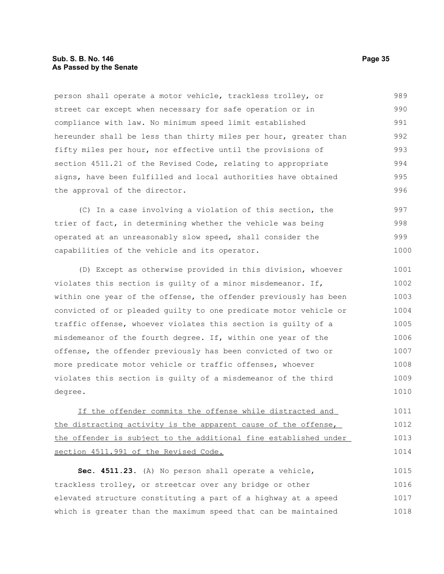person shall operate a motor vehicle, trackless trolley, or street car except when necessary for safe operation or in compliance with law. No minimum speed limit established hereunder shall be less than thirty miles per hour, greater than fifty miles per hour, nor effective until the provisions of section 4511.21 of the Revised Code, relating to appropriate signs, have been fulfilled and local authorities have obtained the approval of the director. 989 990 991 992 993 994 995 996

(C) In a case involving a violation of this section, the trier of fact, in determining whether the vehicle was being operated at an unreasonably slow speed, shall consider the capabilities of the vehicle and its operator. 997 998 999 1000

(D) Except as otherwise provided in this division, whoever violates this section is guilty of a minor misdemeanor. If, within one year of the offense, the offender previously has been convicted of or pleaded guilty to one predicate motor vehicle or traffic offense, whoever violates this section is guilty of a misdemeanor of the fourth degree. If, within one year of the offense, the offender previously has been convicted of two or more predicate motor vehicle or traffic offenses, whoever violates this section is guilty of a misdemeanor of the third degree. 1001 1002 1003 1004 1005 1006 1007 1008 1009 1010

 If the offender commits the offense while distracted and the distracting activity is the apparent cause of the offense, the offender is subject to the additional fine established under section 4511.991 of the Revised Code. 1011 1012 1013 1014

**Sec. 4511.23.** (A) No person shall operate a vehicle, trackless trolley, or streetcar over any bridge or other elevated structure constituting a part of a highway at a speed which is greater than the maximum speed that can be maintained 1015 1016 1017 1018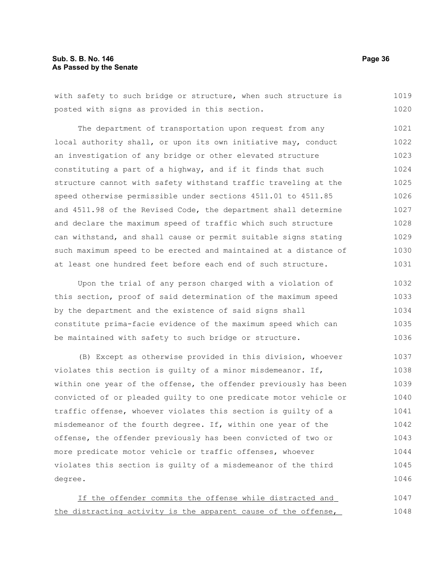#### **Sub. S. B. No. 146 Page 36 As Passed by the Senate**

with safety to such bridge or structure, when such structure is posted with signs as provided in this section. 1019 1020

The department of transportation upon request from any local authority shall, or upon its own initiative may, conduct an investigation of any bridge or other elevated structure constituting a part of a highway, and if it finds that such structure cannot with safety withstand traffic traveling at the speed otherwise permissible under sections 4511.01 to 4511.85 and 4511.98 of the Revised Code, the department shall determine and declare the maximum speed of traffic which such structure can withstand, and shall cause or permit suitable signs stating such maximum speed to be erected and maintained at a distance of at least one hundred feet before each end of such structure. 1021 1022 1023 1024 1025 1026 1027 1028 1029 1030 1031

Upon the trial of any person charged with a violation of this section, proof of said determination of the maximum speed by the department and the existence of said signs shall constitute prima-facie evidence of the maximum speed which can be maintained with safety to such bridge or structure. 1032 1033 1034 1035 1036

(B) Except as otherwise provided in this division, whoever violates this section is guilty of a minor misdemeanor. If, within one year of the offense, the offender previously has been convicted of or pleaded guilty to one predicate motor vehicle or traffic offense, whoever violates this section is guilty of a misdemeanor of the fourth degree. If, within one year of the offense, the offender previously has been convicted of two or more predicate motor vehicle or traffic offenses, whoever violates this section is guilty of a misdemeanor of the third degree. 1037 1038 1039 1040 1041 1042 1043 1044 1045 1046

If the offender commits the offense while distracted and the distracting activity is the apparent cause of the offense, 1047 1048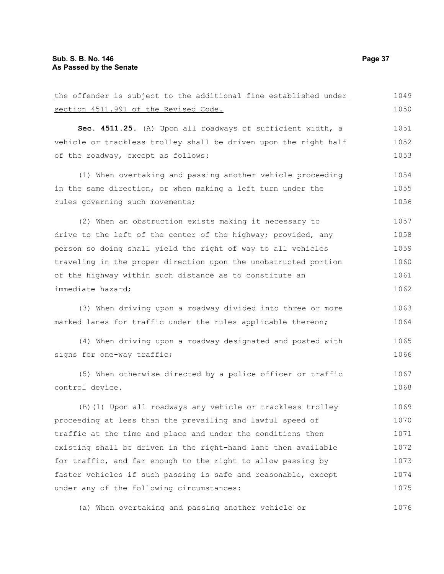| the offender is subject to the additional fine established under | 1049 |
|------------------------------------------------------------------|------|
| section 4511.991 of the Revised Code.                            | 1050 |
| Sec. 4511.25. (A) Upon all roadways of sufficient width, a       | 1051 |
| vehicle or trackless trolley shall be driven upon the right half | 1052 |
| of the roadway, except as follows:                               | 1053 |
| (1) When overtaking and passing another vehicle proceeding       | 1054 |
| in the same direction, or when making a left turn under the      | 1055 |
| rules governing such movements;                                  | 1056 |
| (2) When an obstruction exists making it necessary to            | 1057 |
| drive to the left of the center of the highway; provided, any    | 1058 |
| person so doing shall yield the right of way to all vehicles     | 1059 |
| traveling in the proper direction upon the unobstructed portion  | 1060 |
| of the highway within such distance as to constitute an          | 1061 |
| immediate hazard;                                                | 1062 |
| (3) When driving upon a roadway divided into three or more       | 1063 |
| marked lanes for traffic under the rules applicable thereon;     | 1064 |
| (4) When driving upon a roadway designated and posted with       | 1065 |
| signs for one-way traffic;                                       | 1066 |
| (5) When otherwise directed by a police officer or traffic       | 1067 |
| control device.                                                  | 1068 |
| (B) (1) Upon all roadways any vehicle or trackless trolley       | 1069 |
| proceeding at less than the prevailing and lawful speed of       | 1070 |
| traffic at the time and place and under the conditions then      | 1071 |
| existing shall be driven in the right-hand lane then available   | 1072 |
| for traffic, and far enough to the right to allow passing by     | 1073 |
| faster vehicles if such passing is safe and reasonable, except   | 1074 |
| under any of the following circumstances:                        | 1075 |

(a) When overtaking and passing another vehicle or 1076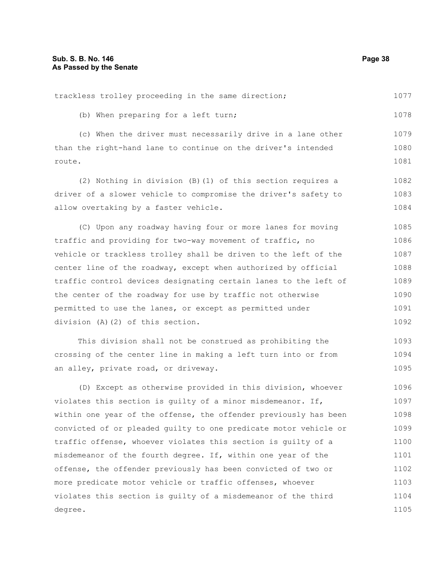degree.

trackless trolley proceeding in the same direction;

(b) When preparing for a left turn; (c) When the driver must necessarily drive in a lane other than the right-hand lane to continue on the driver's intended route. (2) Nothing in division (B)(1) of this section requires a driver of a slower vehicle to compromise the driver's safety to allow overtaking by a faster vehicle. (C) Upon any roadway having four or more lanes for moving traffic and providing for two-way movement of traffic, no vehicle or trackless trolley shall be driven to the left of the center line of the roadway, except when authorized by official traffic control devices designating certain lanes to the left of the center of the roadway for use by traffic not otherwise permitted to use the lanes, or except as permitted under division (A)(2) of this section. This division shall not be construed as prohibiting the crossing of the center line in making a left turn into or from an alley, private road, or driveway. (D) Except as otherwise provided in this division, whoever violates this section is guilty of a minor misdemeanor. If, within one year of the offense, the offender previously has been convicted of or pleaded guilty to one predicate motor vehicle or traffic offense, whoever violates this section is guilty of a misdemeanor of the fourth degree. If, within one year of the offense, the offender previously has been convicted of two or more predicate motor vehicle or traffic offenses, whoever violates this section is guilty of a misdemeanor of the third 1078 1079 1080 1081 1082 1083 1084 1085 1086 1087 1088 1089 1090 1091 1092 1093 1094 1095 1096 1097 1098 1099 1100 1101 1102 1103 1104

1077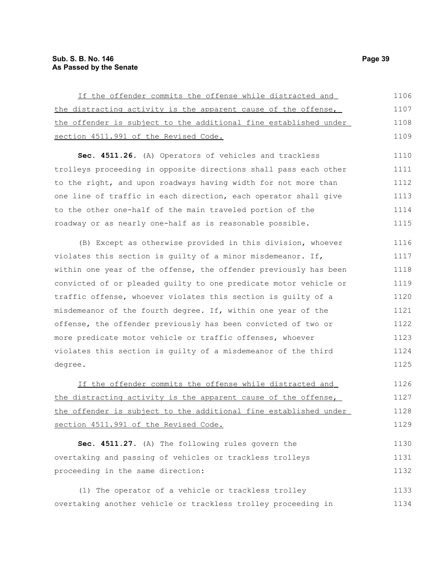| If the offender commits the offense while distracted and         | 1106 |
|------------------------------------------------------------------|------|
| the distracting activity is the apparent cause of the offense,   | 1107 |
| the offender is subject to the additional fine established under | 1108 |
| section 4511.991 of the Revised Code.                            | 1109 |
| Sec. 4511.26. (A) Operators of vehicles and trackless            | 1110 |
| trolleys proceeding in opposite directions shall pass each other | 1111 |
| to the right, and upon roadways having width for not more than   | 1112 |
| one line of traffic in each direction, each operator shall give  | 1113 |
| to the other one-half of the main traveled portion of the        | 1114 |
| roadway or as nearly one-half as is reasonable possible.         | 1115 |
| (B) Except as otherwise provided in this division, whoever       | 1116 |
| violates this section is quilty of a minor misdemeanor. If,      | 1117 |
| within one year of the offense, the offender previously has been | 1118 |
| convicted of or pleaded quilty to one predicate motor vehicle or | 1119 |
| traffic offense, whoever violates this section is quilty of a    | 1120 |
| misdemeanor of the fourth degree. If, within one year of the     | 1121 |
| offense, the offender previously has been convicted of two or    | 1122 |
| more predicate motor vehicle or traffic offenses, whoever        | 1123 |
| violates this section is quilty of a misdemeanor of the third    | 1124 |
| degree.                                                          | 1125 |
| If the offender commits the offense while distracted and         | 1126 |

the distracting activity is the apparent cause of the offense, the offender is subject to the additional fine established under section 4511.991 of the Revised Code. 1127 1128 1129

**Sec. 4511.27.** (A) The following rules govern the overtaking and passing of vehicles or trackless trolleys proceeding in the same direction: 1130 1131 1132

(1) The operator of a vehicle or trackless trolley overtaking another vehicle or trackless trolley proceeding in 1133 1134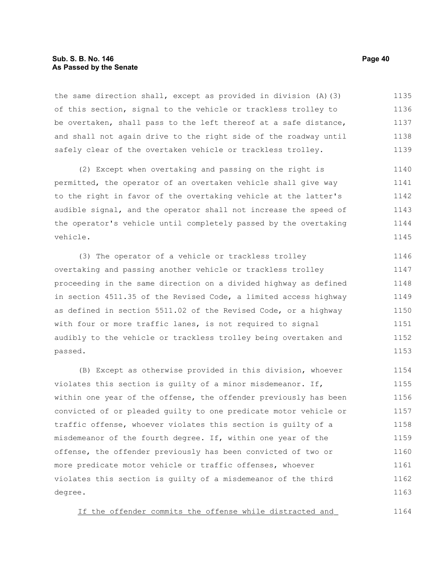# **Sub. S. B. No. 146 Page 40 As Passed by the Senate**

the same direction shall, except as provided in division (A)(3) of this section, signal to the vehicle or trackless trolley to be overtaken, shall pass to the left thereof at a safe distance, and shall not again drive to the right side of the roadway until safely clear of the overtaken vehicle or trackless trolley. 1135 1136 1137 1138 1139

(2) Except when overtaking and passing on the right is permitted, the operator of an overtaken vehicle shall give way to the right in favor of the overtaking vehicle at the latter's audible signal, and the operator shall not increase the speed of the operator's vehicle until completely passed by the overtaking vehicle. 1140 1141 1142 1143 1144 1145

(3) The operator of a vehicle or trackless trolley overtaking and passing another vehicle or trackless trolley proceeding in the same direction on a divided highway as defined in section 4511.35 of the Revised Code, a limited access highway as defined in section 5511.02 of the Revised Code, or a highway with four or more traffic lanes, is not required to signal audibly to the vehicle or trackless trolley being overtaken and passed. 1146 1147 1148 1149 1150 1151 1152 1153

(B) Except as otherwise provided in this division, whoever violates this section is guilty of a minor misdemeanor. If, within one year of the offense, the offender previously has been convicted of or pleaded guilty to one predicate motor vehicle or traffic offense, whoever violates this section is guilty of a misdemeanor of the fourth degree. If, within one year of the offense, the offender previously has been convicted of two or more predicate motor vehicle or traffic offenses, whoever violates this section is guilty of a misdemeanor of the third degree. 1154 1155 1156 1157 1158 1159 1160 1161 1162 1163

 If the offender commits the offense while distracted and 1164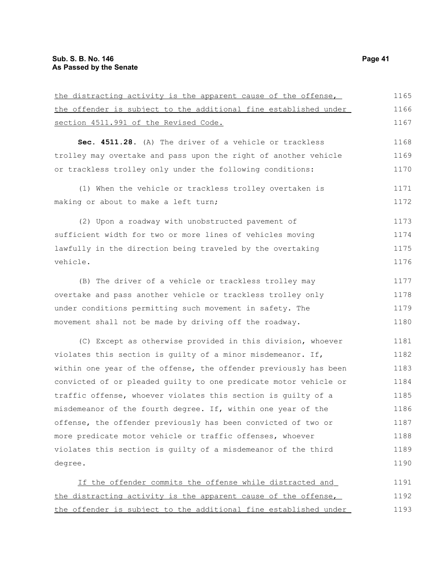| the distracting activity is the apparent cause of the offense,   | 1165 |
|------------------------------------------------------------------|------|
| the offender is subject to the additional fine established under | 1166 |
| section 4511.991 of the Revised Code.                            | 1167 |
| Sec. 4511.28. (A) The driver of a vehicle or trackless           | 1168 |
| trolley may overtake and pass upon the right of another vehicle  | 1169 |
| or trackless trolley only under the following conditions:        | 1170 |
| (1) When the vehicle or trackless trolley overtaken is           | 1171 |
| making or about to make a left turn;                             | 1172 |
| (2) Upon a roadway with unobstructed pavement of                 | 1173 |
| sufficient width for two or more lines of vehicles moving        | 1174 |
| lawfully in the direction being traveled by the overtaking       | 1175 |
| vehicle.                                                         | 1176 |
| (B) The driver of a vehicle or trackless trolley may             | 1177 |
| overtake and pass another vehicle or trackless trolley only      | 1178 |
| under conditions permitting such movement in safety. The         | 1179 |
| movement shall not be made by driving off the roadway.           | 1180 |
| (C) Except as otherwise provided in this division, whoever       | 1181 |
| violates this section is quilty of a minor misdemeanor. If,      | 1182 |
| within one year of the offense, the offender previously has been | 1183 |
| convicted of or pleaded quilty to one predicate motor vehicle or | 1184 |
| traffic offense, whoever violates this section is quilty of a    | 1185 |
| misdemeanor of the fourth degree. If, within one year of the     | 1186 |
| offense, the offender previously has been convicted of two or    | 1187 |
| more predicate motor vehicle or traffic offenses, whoever        | 1188 |
| violates this section is guilty of a misdemeanor of the third    | 1189 |
| degree.                                                          | 1190 |
| If the offender commits the offense while distracted and         | 1191 |

|  | TT CHC ATTOMACT COMMITCA CHC ATTOMAC MITTLE ATACTACCO ANA |                                                                  | ᆂ ᆂ 고 ᆂ |
|--|-----------------------------------------------------------|------------------------------------------------------------------|---------|
|  |                                                           | the distracting activity is the apparent cause of the offense,   | 1192    |
|  |                                                           | the offender is subject to the additional fine established under | 1193    |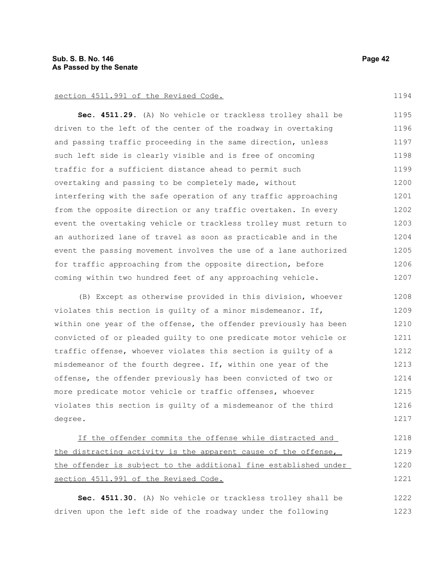**Sec. 4511.29.** (A) No vehicle or trackless trolley shall be driven to the left of the center of the roadway in overtaking and passing traffic proceeding in the same direction, unless such left side is clearly visible and is free of oncoming traffic for a sufficient distance ahead to permit such overtaking and passing to be completely made, without interfering with the safe operation of any traffic approaching from the opposite direction or any traffic overtaken. In every event the overtaking vehicle or trackless trolley must return to an authorized lane of travel as soon as practicable and in the event the passing movement involves the use of a lane authorized for traffic approaching from the opposite direction, before coming within two hundred feet of any approaching vehicle. 1195 1196 1197 1198 1199 1200 1201 1202 1203 1204 1205 1206 1207

(B) Except as otherwise provided in this division, whoever violates this section is guilty of a minor misdemeanor. If, within one year of the offense, the offender previously has been convicted of or pleaded guilty to one predicate motor vehicle or traffic offense, whoever violates this section is guilty of a misdemeanor of the fourth degree. If, within one year of the offense, the offender previously has been convicted of two or more predicate motor vehicle or traffic offenses, whoever violates this section is guilty of a misdemeanor of the third degree. 1208 1209 1210 1211 1212 1213 1214 1215 1216 1217

 If the offender commits the offense while distracted and the distracting activity is the apparent cause of the offense, the offender is subject to the additional fine established under section 4511.991 of the Revised Code. 1218 1219 1220 1221

**Sec. 4511.30.** (A) No vehicle or trackless trolley shall be driven upon the left side of the roadway under the following 1222 1223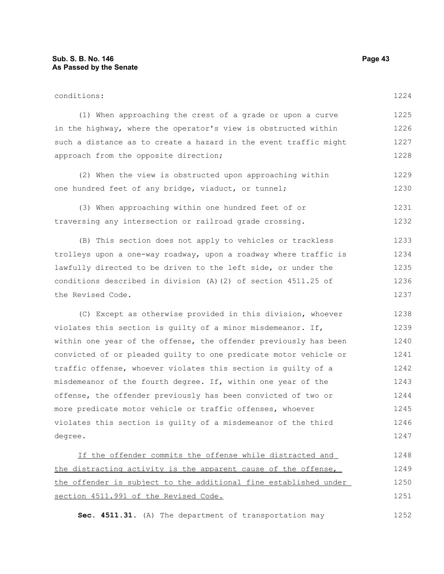| conditions:                                                      | 1224 |
|------------------------------------------------------------------|------|
| (1) When approaching the crest of a grade or upon a curve        | 1225 |
| in the highway, where the operator's view is obstructed within   | 1226 |
| such a distance as to create a hazard in the event traffic might | 1227 |
| approach from the opposite direction;                            | 1228 |
| (2) When the view is obstructed upon approaching within          | 1229 |
| one hundred feet of any bridge, viaduct, or tunnel;              | 1230 |
| (3) When approaching within one hundred feet of or               | 1231 |
| traversing any intersection or railroad grade crossing.          | 1232 |
| (B) This section does not apply to vehicles or trackless         | 1233 |
| trolleys upon a one-way roadway, upon a roadway where traffic is | 1234 |
| lawfully directed to be driven to the left side, or under the    | 1235 |
| conditions described in division (A) (2) of section $4511.25$ of | 1236 |
| the Revised Code.                                                | 1237 |
| (C) Except as otherwise provided in this division, whoever       | 1238 |
| violates this section is quilty of a minor misdemeanor. If,      | 1239 |
| within one year of the offense, the offender previously has been | 1240 |
| convicted of or pleaded quilty to one predicate motor vehicle or | 1241 |
| traffic offense, whoever violates this section is quilty of a    | 1242 |
| misdemeanor of the fourth degree. If, within one year of the     | 1243 |
| offense, the offender previously has been convicted of two or    | 1244 |
| more predicate motor vehicle or traffic offenses, whoever        | 1245 |
| violates this section is quilty of a misdemeanor of the third    | 1246 |
| degree.                                                          | 1247 |
| If the offender commits the offense while distracted and         | 1248 |

If the offender commits the offense while distracted and the distracting activity is the apparent cause of the offense, the offender is subject to the additional fine established under section 4511.991 of the Revised Code. 1248 1249 1250 1251

**Sec. 4511.31.** (A) The department of transportation may

1224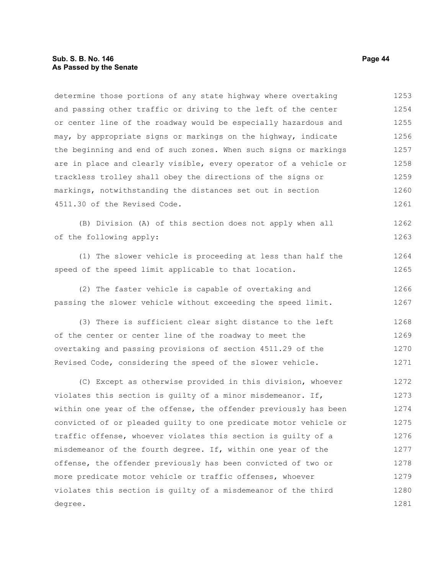# **Sub. S. B. No. 146 Page 44 As Passed by the Senate**

determine those portions of any state highway where overtaking and passing other traffic or driving to the left of the center or center line of the roadway would be especially hazardous and may, by appropriate signs or markings on the highway, indicate the beginning and end of such zones. When such signs or markings are in place and clearly visible, every operator of a vehicle or trackless trolley shall obey the directions of the signs or markings, notwithstanding the distances set out in section 4511.30 of the Revised Code. 1253 1254 1255 1256 1257 1258 1259 1260 1261

(B) Division (A) of this section does not apply when all of the following apply: 1262 1263

(1) The slower vehicle is proceeding at less than half the speed of the speed limit applicable to that location. 1264 1265

(2) The faster vehicle is capable of overtaking and passing the slower vehicle without exceeding the speed limit. 1266 1267

(3) There is sufficient clear sight distance to the left of the center or center line of the roadway to meet the overtaking and passing provisions of section 4511.29 of the Revised Code, considering the speed of the slower vehicle. 1268 1269 1270 1271

(C) Except as otherwise provided in this division, whoever violates this section is guilty of a minor misdemeanor. If, within one year of the offense, the offender previously has been convicted of or pleaded guilty to one predicate motor vehicle or traffic offense, whoever violates this section is guilty of a misdemeanor of the fourth degree. If, within one year of the offense, the offender previously has been convicted of two or more predicate motor vehicle or traffic offenses, whoever violates this section is guilty of a misdemeanor of the third degree. 1272 1273 1274 1275 1276 1277 1278 1279 1280 1281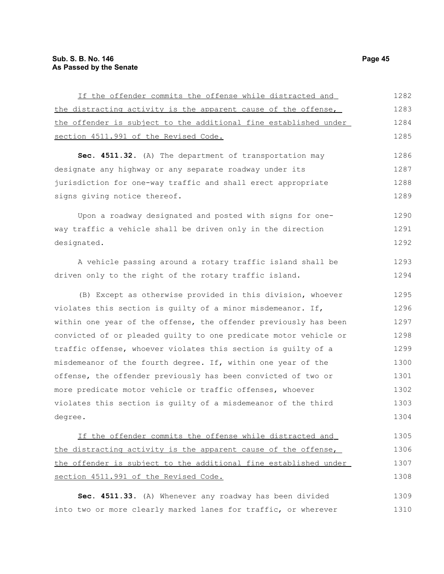| If the offender commits the offense while distracted and         | 1282 |
|------------------------------------------------------------------|------|
| the distracting activity is the apparent cause of the offense,   | 1283 |
| the offender is subject to the additional fine established under | 1284 |
| section 4511.991 of the Revised Code.                            | 1285 |
| Sec. 4511.32. (A) The department of transportation may           | 1286 |
| designate any highway or any separate roadway under its          | 1287 |
| jurisdiction for one-way traffic and shall erect appropriate     | 1288 |
| signs giving notice thereof.                                     | 1289 |
| Upon a roadway designated and posted with signs for one-         | 1290 |
| way traffic a vehicle shall be driven only in the direction      | 1291 |
| designated.                                                      | 1292 |
| A vehicle passing around a rotary traffic island shall be        | 1293 |
| driven only to the right of the rotary traffic island.           | 1294 |
| (B) Except as otherwise provided in this division, whoever       | 1295 |
| violates this section is quilty of a minor misdemeanor. If,      | 1296 |
| within one year of the offense, the offender previously has been | 1297 |
| convicted of or pleaded quilty to one predicate motor vehicle or | 1298 |
| traffic offense, whoever violates this section is quilty of a    | 1299 |
| misdemeanor of the fourth degree. If, within one year of the     | 1300 |
| offense, the offender previously has been convicted of two or    | 1301 |
| more predicate motor vehicle or traffic offenses, whoever        | 1302 |
| violates this section is guilty of a misdemeanor of the third    | 1303 |
| degree.                                                          | 1304 |
| If the offender commits the offense while distracted and         | 1305 |
| the distracting activity is the apparent cause of the offense,   | 1306 |
| the offender is subject to the additional fine established under | 1307 |
| section 4511.991 of the Revised Code.                            | 1308 |
| Sec. 4511.33. (A) Whenever any roadway has been divided          | 1309 |

into two or more clearly marked lanes for traffic, or wherever 1310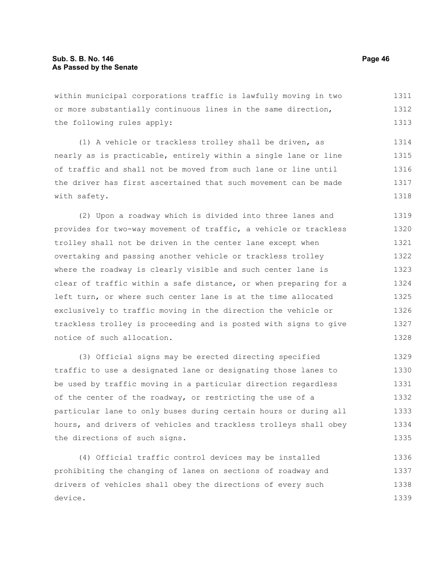within municipal corporations traffic is lawfully moving in two or more substantially continuous lines in the same direction, the following rules apply: 1311 1312 1313

(1) A vehicle or trackless trolley shall be driven, as nearly as is practicable, entirely within a single lane or line of traffic and shall not be moved from such lane or line until the driver has first ascertained that such movement can be made with safety. 1314 1315 1316 1317 1318

(2) Upon a roadway which is divided into three lanes and provides for two-way movement of traffic, a vehicle or trackless trolley shall not be driven in the center lane except when overtaking and passing another vehicle or trackless trolley where the roadway is clearly visible and such center lane is clear of traffic within a safe distance, or when preparing for a left turn, or where such center lane is at the time allocated exclusively to traffic moving in the direction the vehicle or trackless trolley is proceeding and is posted with signs to give notice of such allocation. 1319 1320 1321 1322 1323 1324 1325 1326 1327 1328

(3) Official signs may be erected directing specified traffic to use a designated lane or designating those lanes to be used by traffic moving in a particular direction regardless of the center of the roadway, or restricting the use of a particular lane to only buses during certain hours or during all hours, and drivers of vehicles and trackless trolleys shall obey the directions of such signs. 1329 1330 1331 1332 1333 1334 1335

(4) Official traffic control devices may be installed prohibiting the changing of lanes on sections of roadway and drivers of vehicles shall obey the directions of every such device. 1336 1337 1338 1339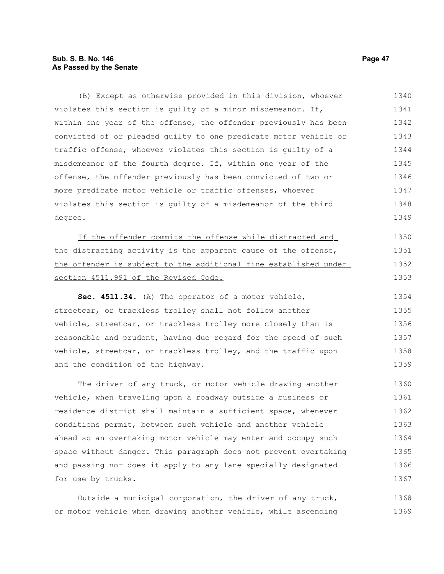# **Sub. S. B. No. 146 Page 47 As Passed by the Senate**

(B) Except as otherwise provided in this division, whoever violates this section is guilty of a minor misdemeanor. If, within one year of the offense, the offender previously has been convicted of or pleaded guilty to one predicate motor vehicle or traffic offense, whoever violates this section is guilty of a misdemeanor of the fourth degree. If, within one year of the offense, the offender previously has been convicted of two or more predicate motor vehicle or traffic offenses, whoever violates this section is guilty of a misdemeanor of the third degree. If the offender commits the offense while distracted and the distracting activity is the apparent cause of the offense, the offender is subject to the additional fine established under section 4511.991 of the Revised Code. **Sec. 4511.34.** (A) The operator of a motor vehicle, streetcar, or trackless trolley shall not follow another vehicle, streetcar, or trackless trolley more closely than is reasonable and prudent, having due regard for the speed of such vehicle, streetcar, or trackless trolley, and the traffic upon and the condition of the highway. The driver of any truck, or motor vehicle drawing another vehicle, when traveling upon a roadway outside a business or residence district shall maintain a sufficient space, whenever conditions permit, between such vehicle and another vehicle ahead so an overtaking motor vehicle may enter and occupy such space without danger. This paragraph does not prevent overtaking and passing nor does it apply to any lane specially designated for use by trucks. 1340 1341 1342 1343 1344 1345 1346 1347 1348 1349 1350 1351 1352 1353 1354 1355 1356 1357 1358 1359 1360 1361 1362 1363 1364 1365 1366 1367

Outside a municipal corporation, the driver of any truck, or motor vehicle when drawing another vehicle, while ascending 1368 1369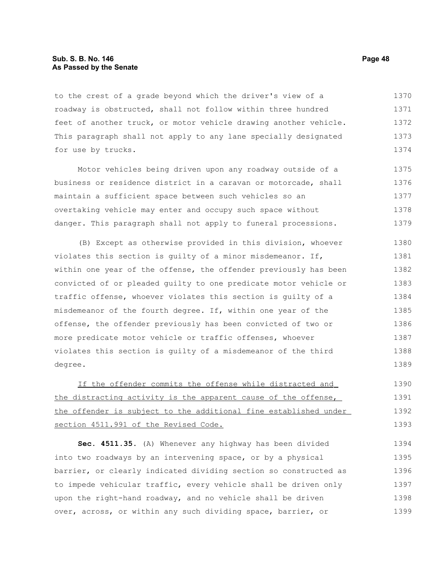to the crest of a grade beyond which the driver's view of a roadway is obstructed, shall not follow within three hundred feet of another truck, or motor vehicle drawing another vehicle. This paragraph shall not apply to any lane specially designated for use by trucks. 1370 1371 1372 1373 1374

Motor vehicles being driven upon any roadway outside of a business or residence district in a caravan or motorcade, shall maintain a sufficient space between such vehicles so an overtaking vehicle may enter and occupy such space without danger. This paragraph shall not apply to funeral processions. 1375 1376 1377 1378 1379

(B) Except as otherwise provided in this division, whoever violates this section is guilty of a minor misdemeanor. If, within one year of the offense, the offender previously has been convicted of or pleaded guilty to one predicate motor vehicle or traffic offense, whoever violates this section is guilty of a misdemeanor of the fourth degree. If, within one year of the offense, the offender previously has been convicted of two or more predicate motor vehicle or traffic offenses, whoever violates this section is guilty of a misdemeanor of the third degree. 1380 1381 1382 1383 1384 1385 1386 1387 1388 1389

 If the offender commits the offense while distracted and the distracting activity is the apparent cause of the offense, the offender is subject to the additional fine established under section 4511.991 of the Revised Code. 1390 1391 1392 1393

**Sec. 4511.35.** (A) Whenever any highway has been divided into two roadways by an intervening space, or by a physical barrier, or clearly indicated dividing section so constructed as to impede vehicular traffic, every vehicle shall be driven only upon the right-hand roadway, and no vehicle shall be driven over, across, or within any such dividing space, barrier, or 1394 1395 1396 1397 1398 1399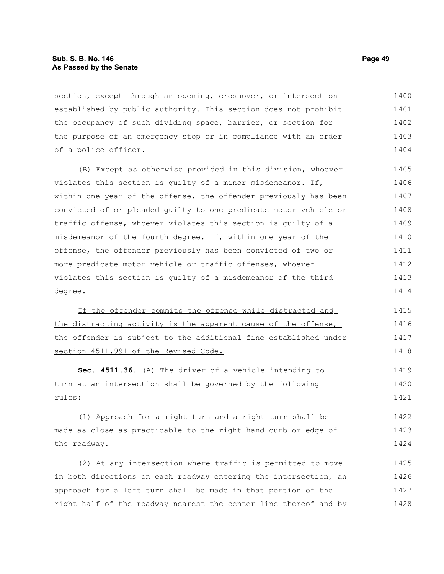section, except through an opening, crossover, or intersection established by public authority. This section does not prohibit the occupancy of such dividing space, barrier, or section for the purpose of an emergency stop or in compliance with an order of a police officer. 1400 1401 1402 1403 1404

(B) Except as otherwise provided in this division, whoever violates this section is guilty of a minor misdemeanor. If, within one year of the offense, the offender previously has been convicted of or pleaded guilty to one predicate motor vehicle or traffic offense, whoever violates this section is guilty of a misdemeanor of the fourth degree. If, within one year of the offense, the offender previously has been convicted of two or more predicate motor vehicle or traffic offenses, whoever violates this section is guilty of a misdemeanor of the third degree. 1405 1406 1407 1408 1409 1410 1411 1412 1413 1414

 If the offender commits the offense while distracted and the distracting activity is the apparent cause of the offense, the offender is subject to the additional fine established under section 4511.991 of the Revised Code. 1415 1416 1417 1418

**Sec. 4511.36.** (A) The driver of a vehicle intending to turn at an intersection shall be governed by the following rules: 1419 1420 1421

(1) Approach for a right turn and a right turn shall be made as close as practicable to the right-hand curb or edge of the roadway. 1422 1423 1424

(2) At any intersection where traffic is permitted to move in both directions on each roadway entering the intersection, an approach for a left turn shall be made in that portion of the right half of the roadway nearest the center line thereof and by 1425 1426 1427 1428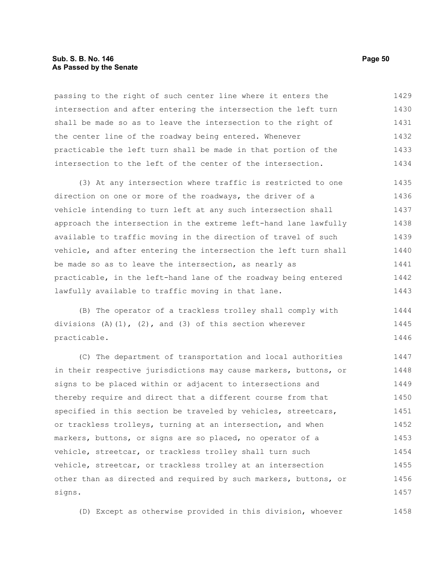# **Sub. S. B. No. 146 Page 50 As Passed by the Senate**

passing to the right of such center line where it enters the intersection and after entering the intersection the left turn shall be made so as to leave the intersection to the right of the center line of the roadway being entered. Whenever practicable the left turn shall be made in that portion of the intersection to the left of the center of the intersection. 1429 1430 1431 1432 1433 1434

(3) At any intersection where traffic is restricted to one direction on one or more of the roadways, the driver of a vehicle intending to turn left at any such intersection shall approach the intersection in the extreme left-hand lane lawfully available to traffic moving in the direction of travel of such vehicle, and after entering the intersection the left turn shall be made so as to leave the intersection, as nearly as practicable, in the left-hand lane of the roadway being entered lawfully available to traffic moving in that lane. 1435 1436 1437 1438 1439 1440 1441 1442 1443

(B) The operator of a trackless trolley shall comply with divisions  $(A)$   $(1)$ ,  $(2)$ , and  $(3)$  of this section wherever practicable. 1444 1445 1446

(C) The department of transportation and local authorities in their respective jurisdictions may cause markers, buttons, or signs to be placed within or adjacent to intersections and thereby require and direct that a different course from that specified in this section be traveled by vehicles, streetcars, or trackless trolleys, turning at an intersection, and when markers, buttons, or signs are so placed, no operator of a vehicle, streetcar, or trackless trolley shall turn such vehicle, streetcar, or trackless trolley at an intersection other than as directed and required by such markers, buttons, or signs. 1447 1448 1449 1450 1451 1452 1453 1454 1455 1456 1457

(D) Except as otherwise provided in this division, whoever 1458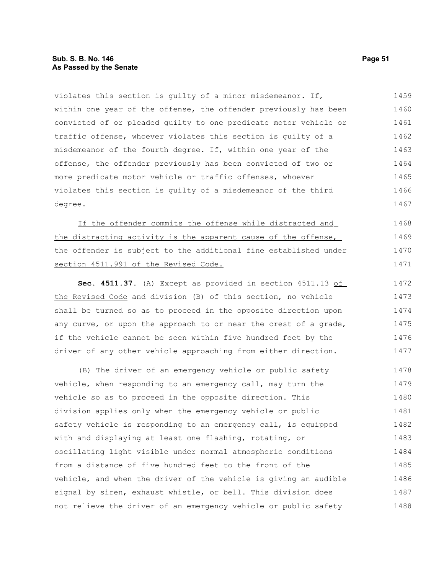# **Sub. S. B. No. 146 Page 51 As Passed by the Senate**

violates this section is guilty of a minor misdemeanor. If, within one year of the offense, the offender previously has been convicted of or pleaded guilty to one predicate motor vehicle or traffic offense, whoever violates this section is guilty of a misdemeanor of the fourth degree. If, within one year of the offense, the offender previously has been convicted of two or more predicate motor vehicle or traffic offenses, whoever violates this section is guilty of a misdemeanor of the third degree. 1459 1460 1461 1462 1463 1464 1465 1466 1467

 If the offender commits the offense while distracted and the distracting activity is the apparent cause of the offense, the offender is subject to the additional fine established under section 4511.991 of the Revised Code. 1468 1469 1470 1471

**Sec. 4511.37.** (A) Except as provided in section 4511.13 of the Revised Code and division (B) of this section, no vehicle shall be turned so as to proceed in the opposite direction upon any curve, or upon the approach to or near the crest of a grade, if the vehicle cannot be seen within five hundred feet by the driver of any other vehicle approaching from either direction. 1472 1473 1474 1475 1476 1477

(B) The driver of an emergency vehicle or public safety vehicle, when responding to an emergency call, may turn the vehicle so as to proceed in the opposite direction. This division applies only when the emergency vehicle or public safety vehicle is responding to an emergency call, is equipped with and displaying at least one flashing, rotating, or oscillating light visible under normal atmospheric conditions from a distance of five hundred feet to the front of the vehicle, and when the driver of the vehicle is giving an audible signal by siren, exhaust whistle, or bell. This division does not relieve the driver of an emergency vehicle or public safety 1478 1479 1480 1481 1482 1483 1484 1485 1486 1487 1488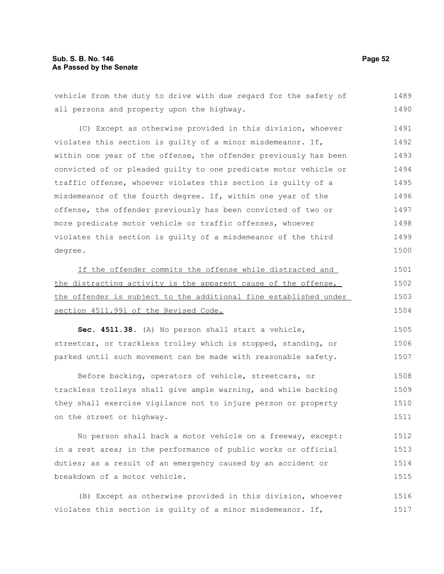vehicle from the duty to drive with due regard for the safety of all persons and property upon the highway. (C) Except as otherwise provided in this division, whoever violates this section is guilty of a minor misdemeanor. If, within one year of the offense, the offender previously has been convicted of or pleaded guilty to one predicate motor vehicle or traffic offense, whoever violates this section is guilty of a misdemeanor of the fourth degree. If, within one year of the offense, the offender previously has been convicted of two or more predicate motor vehicle or traffic offenses, whoever violates this section is guilty of a misdemeanor of the third degree. If the offender commits the offense while distracted and the distracting activity is the apparent cause of the offense, the offender is subject to the additional fine established under section 4511.991 of the Revised Code. 1489 1490 1491 1492 1493 1494 1495 1496 1497 1498 1499 1500 1501 1502 1503 1504

**Sec. 4511.38.** (A) No person shall start a vehicle, streetcar, or trackless trolley which is stopped, standing, or parked until such movement can be made with reasonable safety. 1505 1506 1507

Before backing, operators of vehicle, streetcars, or trackless trolleys shall give ample warning, and while backing they shall exercise vigilance not to injure person or property on the street or highway. 1508 1509 1510 1511

No person shall back a motor vehicle on a freeway, except: in a rest area; in the performance of public works or official duties; as a result of an emergency caused by an accident or breakdown of a motor vehicle. 1512 1513 1514 1515

(B) Except as otherwise provided in this division, whoever violates this section is guilty of a minor misdemeanor. If, 1516 1517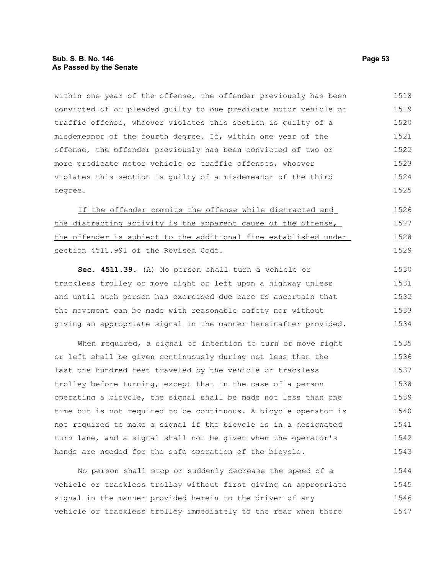# **Sub. S. B. No. 146 Page 53 As Passed by the Senate**

within one year of the offense, the offender previously has been convicted of or pleaded guilty to one predicate motor vehicle or traffic offense, whoever violates this section is guilty of a misdemeanor of the fourth degree. If, within one year of the offense, the offender previously has been convicted of two or more predicate motor vehicle or traffic offenses, whoever violates this section is guilty of a misdemeanor of the third degree. 1518 1519 1520 1521 1522 1523 1524 1525

 If the offender commits the offense while distracted and the distracting activity is the apparent cause of the offense, the offender is subject to the additional fine established under section 4511.991 of the Revised Code. 1526 1527 1528 1529

**Sec. 4511.39.** (A) No person shall turn a vehicle or trackless trolley or move right or left upon a highway unless and until such person has exercised due care to ascertain that the movement can be made with reasonable safety nor without giving an appropriate signal in the manner hereinafter provided. 1530 1531 1532 1533 1534

When required, a signal of intention to turn or move right or left shall be given continuously during not less than the last one hundred feet traveled by the vehicle or trackless trolley before turning, except that in the case of a person operating a bicycle, the signal shall be made not less than one time but is not required to be continuous. A bicycle operator is not required to make a signal if the bicycle is in a designated turn lane, and a signal shall not be given when the operator's hands are needed for the safe operation of the bicycle. 1535 1536 1537 1538 1539 1540 1541 1542 1543

No person shall stop or suddenly decrease the speed of a vehicle or trackless trolley without first giving an appropriate signal in the manner provided herein to the driver of any vehicle or trackless trolley immediately to the rear when there 1544 1545 1546 1547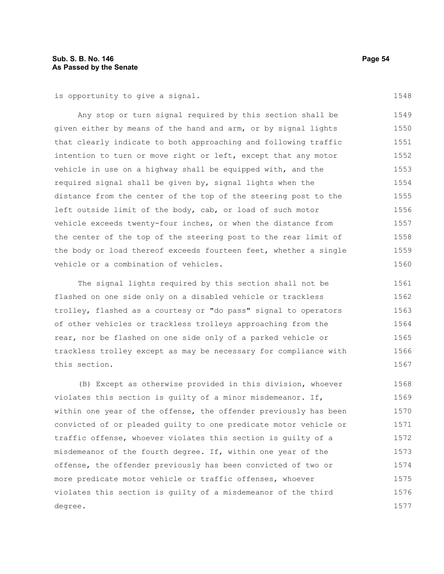is opportunity to give a signal.

Any stop or turn signal required by this section shall be given either by means of the hand and arm, or by signal lights that clearly indicate to both approaching and following traffic intention to turn or move right or left, except that any motor vehicle in use on a highway shall be equipped with, and the required signal shall be given by, signal lights when the distance from the center of the top of the steering post to the left outside limit of the body, cab, or load of such motor vehicle exceeds twenty-four inches, or when the distance from the center of the top of the steering post to the rear limit of the body or load thereof exceeds fourteen feet, whether a single vehicle or a combination of vehicles. 1549 1550 1551 1552 1553 1554 1555 1556 1557 1558 1559 1560

The signal lights required by this section shall not be flashed on one side only on a disabled vehicle or trackless trolley, flashed as a courtesy or "do pass" signal to operators of other vehicles or trackless trolleys approaching from the rear, nor be flashed on one side only of a parked vehicle or trackless trolley except as may be necessary for compliance with this section. 1561 1562 1563 1564 1565 1566 1567

(B) Except as otherwise provided in this division, whoever violates this section is guilty of a minor misdemeanor. If, within one year of the offense, the offender previously has been convicted of or pleaded guilty to one predicate motor vehicle or traffic offense, whoever violates this section is guilty of a misdemeanor of the fourth degree. If, within one year of the offense, the offender previously has been convicted of two or more predicate motor vehicle or traffic offenses, whoever violates this section is guilty of a misdemeanor of the third degree. 1568 1569 1570 1571 1572 1573 1574 1575 1576 1577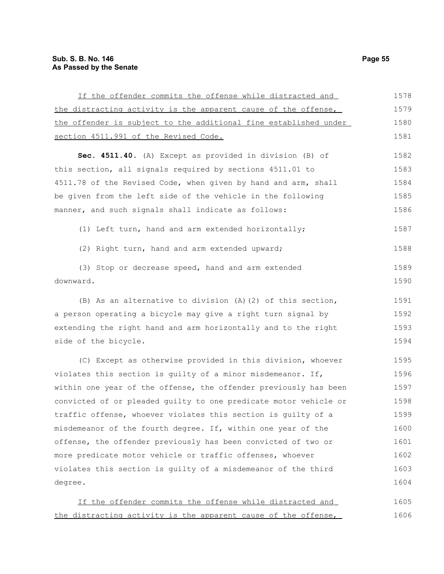| If the offender commits the offense while distracted and         | 1578 |
|------------------------------------------------------------------|------|
| the distracting activity is the apparent cause of the offense,   | 1579 |
| the offender is subject to the additional fine established under | 1580 |
| section 4511.991 of the Revised Code.                            | 1581 |
| Sec. 4511.40. (A) Except as provided in division (B) of          | 1582 |
| this section, all signals required by sections 4511.01 to        | 1583 |
| 4511.78 of the Revised Code, when given by hand and arm, shall   | 1584 |
| be given from the left side of the vehicle in the following      | 1585 |
| manner, and such signals shall indicate as follows:              | 1586 |
| (1) Left turn, hand and arm extended horizontally;               | 1587 |
| (2) Right turn, hand and arm extended upward;                    | 1588 |
| (3) Stop or decrease speed, hand and arm extended                | 1589 |
| downward.                                                        | 1590 |
| (B) As an alternative to division (A) $(2)$ of this section,     | 1591 |
| a person operating a bicycle may give a right turn signal by     | 1592 |
| extending the right hand and arm horizontally and to the right   | 1593 |
| side of the bicycle.                                             | 1594 |
| (C) Except as otherwise provided in this division, whoever       | 1595 |
| violates this section is quilty of a minor misdemeanor. If,      | 1596 |
| within one year of the offense, the offender previously has been | 1597 |
| convicted of or pleaded quilty to one predicate motor vehicle or | 1598 |
| traffic offense, whoever violates this section is guilty of a    | 1599 |
| misdemeanor of the fourth degree. If, within one year of the     | 1600 |
| offense, the offender previously has been convicted of two or    | 1601 |
| more predicate motor vehicle or traffic offenses, whoever        | 1602 |
| violates this section is guilty of a misdemeanor of the third    | 1603 |
| degree.                                                          | 1604 |

|  |  | If the offender commits the offense while distracted and       | 1605 |
|--|--|----------------------------------------------------------------|------|
|  |  | the distracting activity is the apparent cause of the offense, | 1606 |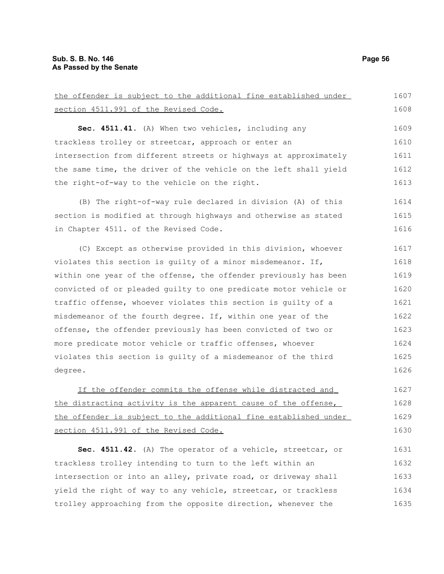| the offender is subject to the additional fine established under | 1607 |
|------------------------------------------------------------------|------|
| section 4511.991 of the Revised Code.                            | 1608 |
| Sec. 4511.41. (A) When two vehicles, including any               | 1609 |
|                                                                  |      |
| trackless trolley or streetcar, approach or enter an             | 1610 |
| intersection from different streets or highways at approximately | 1611 |
| the same time, the driver of the vehicle on the left shall yield | 1612 |
| the right-of-way to the vehicle on the right.                    | 1613 |
| (B) The right-of-way rule declared in division (A) of this       | 1614 |
| section is modified at through highways and otherwise as stated  | 1615 |
| in Chapter 4511. of the Revised Code.                            | 1616 |
| (C) Except as otherwise provided in this division, whoever       | 1617 |
| violates this section is quilty of a minor misdemeanor. If,      | 1618 |
| within one year of the offense, the offender previously has been | 1619 |
| convicted of or pleaded quilty to one predicate motor vehicle or | 1620 |
| traffic offense, whoever violates this section is quilty of a    | 1621 |
| misdemeanor of the fourth degree. If, within one year of the     | 1622 |
| offense, the offender previously has been convicted of two or    | 1623 |
| more predicate motor vehicle or traffic offenses, whoever        | 1624 |
| violates this section is guilty of a misdemeanor of the third    | 1625 |
| degree.                                                          | 1626 |
| If the offender commits the offense while distracted and         | 1627 |
| the distracting activity is the apparent cause of the offense,   | 1628 |
| the offender is subject to the additional fine established under | 1629 |
| section 4511.991 of the Revised Code.                            | 1630 |
| Sec. 4511.42. (A) The operator of a vehicle, streetcar, or       | 1631 |
| trackless trolley intending to turn to the left within an        | 1632 |
| intersection or into an alley, private road, or driveway shall   | 1633 |

yield the right of way to any vehicle, streetcar, or trackless trolley approaching from the opposite direction, whenever the 1634 1635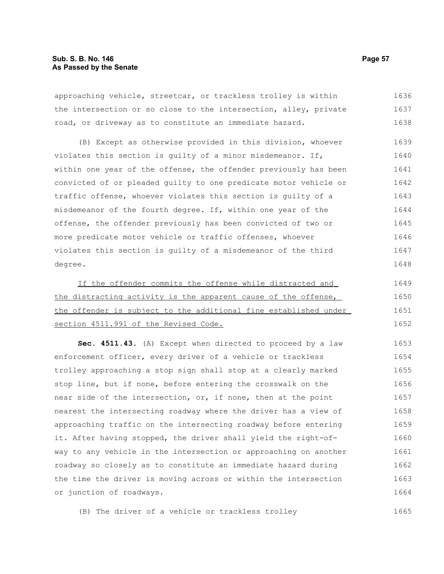approaching vehicle, streetcar, or trackless trolley is within the intersection or so close to the intersection, alley, private road, or driveway as to constitute an immediate hazard. 1636 1637 1638

(B) Except as otherwise provided in this division, whoever violates this section is guilty of a minor misdemeanor. If, within one year of the offense, the offender previously has been convicted of or pleaded guilty to one predicate motor vehicle or traffic offense, whoever violates this section is guilty of a misdemeanor of the fourth degree. If, within one year of the offense, the offender previously has been convicted of two or more predicate motor vehicle or traffic offenses, whoever violates this section is guilty of a misdemeanor of the third degree. 1639 1640 1641 1642 1643 1644 1645 1646 1647 1648

 If the offender commits the offense while distracted and the distracting activity is the apparent cause of the offense, the offender is subject to the additional fine established under section 4511.991 of the Revised Code. 1649 1650 1651 1652

**Sec. 4511.43.** (A) Except when directed to proceed by a law enforcement officer, every driver of a vehicle or trackless trolley approaching a stop sign shall stop at a clearly marked stop line, but if none, before entering the crosswalk on the near side of the intersection, or, if none, then at the point nearest the intersecting roadway where the driver has a view of approaching traffic on the intersecting roadway before entering it. After having stopped, the driver shall yield the right-ofway to any vehicle in the intersection or approaching on another roadway so closely as to constitute an immediate hazard during the time the driver is moving across or within the intersection or junction of roadways. 1653 1654 1655 1656 1657 1658 1659 1660 1661 1662 1663 1664

(B) The driver of a vehicle or trackless trolley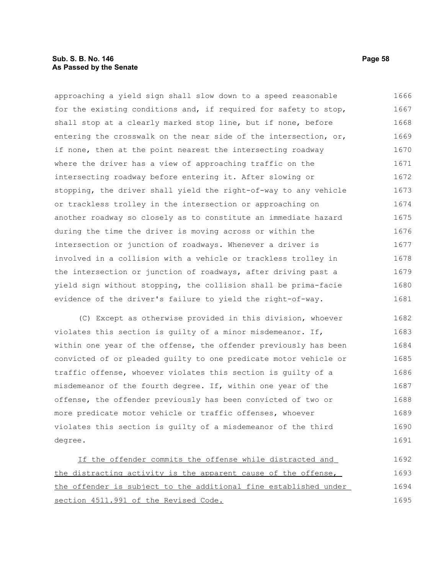# **Sub. S. B. No. 146 Page 58 As Passed by the Senate**

approaching a yield sign shall slow down to a speed reasonable for the existing conditions and, if required for safety to stop, shall stop at a clearly marked stop line, but if none, before entering the crosswalk on the near side of the intersection, or, if none, then at the point nearest the intersecting roadway where the driver has a view of approaching traffic on the intersecting roadway before entering it. After slowing or stopping, the driver shall yield the right-of-way to any vehicle or trackless trolley in the intersection or approaching on another roadway so closely as to constitute an immediate hazard during the time the driver is moving across or within the intersection or junction of roadways. Whenever a driver is involved in a collision with a vehicle or trackless trolley in the intersection or junction of roadways, after driving past a yield sign without stopping, the collision shall be prima-facie evidence of the driver's failure to yield the right-of-way. 1666 1667 1668 1669 1670 1671 1672 1673 1674 1675 1676 1677 1678 1679 1680 1681

(C) Except as otherwise provided in this division, whoever violates this section is guilty of a minor misdemeanor. If, within one year of the offense, the offender previously has been convicted of or pleaded guilty to one predicate motor vehicle or traffic offense, whoever violates this section is guilty of a misdemeanor of the fourth degree. If, within one year of the offense, the offender previously has been convicted of two or more predicate motor vehicle or traffic offenses, whoever violates this section is guilty of a misdemeanor of the third degree. 1682 1683 1684 1685 1686 1687 1688 1689 1690 1691

 If the offender commits the offense while distracted and the distracting activity is the apparent cause of the offense, the offender is subject to the additional fine established under section 4511.991 of the Revised Code. 1692 1693 1694 1695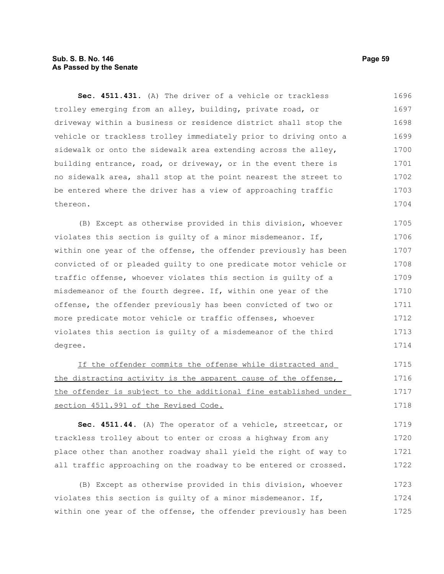# **Sub. S. B. No. 146 Page 59 As Passed by the Senate**

**Sec. 4511.431.** (A) The driver of a vehicle or trackless trolley emerging from an alley, building, private road, or driveway within a business or residence district shall stop the vehicle or trackless trolley immediately prior to driving onto a sidewalk or onto the sidewalk area extending across the alley, building entrance, road, or driveway, or in the event there is no sidewalk area, shall stop at the point nearest the street to be entered where the driver has a view of approaching traffic thereon. 1696 1697 1698 1699 1700 1701 1702 1703 1704

(B) Except as otherwise provided in this division, whoever violates this section is guilty of a minor misdemeanor. If, within one year of the offense, the offender previously has been convicted of or pleaded guilty to one predicate motor vehicle or traffic offense, whoever violates this section is guilty of a misdemeanor of the fourth degree. If, within one year of the offense, the offender previously has been convicted of two or more predicate motor vehicle or traffic offenses, whoever violates this section is guilty of a misdemeanor of the third degree. 1705 1706 1707 1708 1709 1710 1711 1712 1713 1714

If the offender commits the offense while distracted and the distracting activity is the apparent cause of the offense, the offender is subject to the additional fine established under section 4511.991 of the Revised Code. 1715 1716 1717 1718

**Sec. 4511.44.** (A) The operator of a vehicle, streetcar, or trackless trolley about to enter or cross a highway from any place other than another roadway shall yield the right of way to all traffic approaching on the roadway to be entered or crossed. 1719 1720 1721 1722

(B) Except as otherwise provided in this division, whoever violates this section is guilty of a minor misdemeanor. If, within one year of the offense, the offender previously has been 1723 1724 1725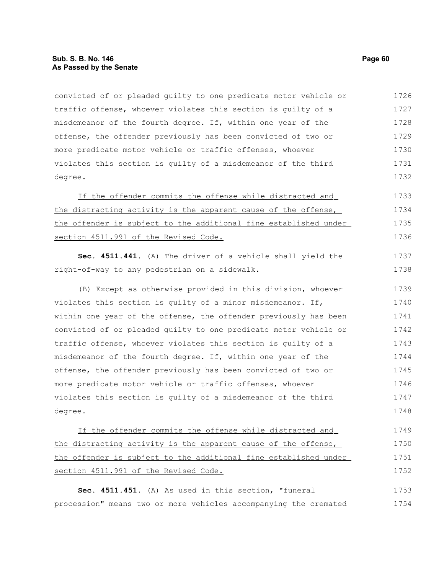convicted of or pleaded guilty to one predicate motor vehicle or traffic offense, whoever violates this section is guilty of a misdemeanor of the fourth degree. If, within one year of the offense, the offender previously has been convicted of two or more predicate motor vehicle or traffic offenses, whoever violates this section is guilty of a misdemeanor of the third degree. 1726 1727 1728 1729 1730 1731 1732

 If the offender commits the offense while distracted and the distracting activity is the apparent cause of the offense, the offender is subject to the additional fine established under section 4511.991 of the Revised Code. 1733 1734 1735 1736

**Sec. 4511.441.** (A) The driver of a vehicle shall yield the right-of-way to any pedestrian on a sidewalk. 1737 1738

(B) Except as otherwise provided in this division, whoever violates this section is guilty of a minor misdemeanor. If, within one year of the offense, the offender previously has been convicted of or pleaded guilty to one predicate motor vehicle or traffic offense, whoever violates this section is guilty of a misdemeanor of the fourth degree. If, within one year of the offense, the offender previously has been convicted of two or more predicate motor vehicle or traffic offenses, whoever violates this section is guilty of a misdemeanor of the third degree. 1739 1740 1741 1742 1743 1744 1745 1746 1747 1748

 If the offender commits the offense while distracted and the distracting activity is the apparent cause of the offense, the offender is subject to the additional fine established under section 4511.991 of the Revised Code. 1749 1750 1751 1752

**Sec. 4511.451.** (A) As used in this section, "funeral procession" means two or more vehicles accompanying the cremated 1753 1754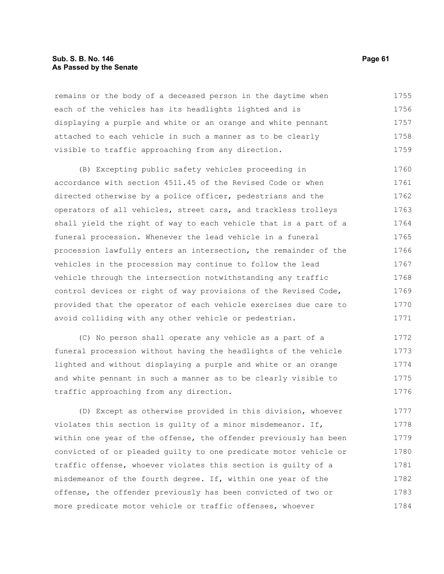# **Sub. S. B. No. 146 Page 61 As Passed by the Senate**

remains or the body of a deceased person in the daytime when each of the vehicles has its headlights lighted and is displaying a purple and white or an orange and white pennant attached to each vehicle in such a manner as to be clearly visible to traffic approaching from any direction. 1755 1756 1757 1758 1759

(B) Excepting public safety vehicles proceeding in accordance with section 4511.45 of the Revised Code or when directed otherwise by a police officer, pedestrians and the operators of all vehicles, street cars, and trackless trolleys shall yield the right of way to each vehicle that is a part of a funeral procession. Whenever the lead vehicle in a funeral procession lawfully enters an intersection, the remainder of the vehicles in the procession may continue to follow the lead vehicle through the intersection notwithstanding any traffic control devices or right of way provisions of the Revised Code, provided that the operator of each vehicle exercises due care to avoid colliding with any other vehicle or pedestrian. 1760 1761 1762 1763 1764 1765 1766 1767 1768 1769 1770 1771

(C) No person shall operate any vehicle as a part of a funeral procession without having the headlights of the vehicle lighted and without displaying a purple and white or an orange and white pennant in such a manner as to be clearly visible to traffic approaching from any direction. 1772 1773 1774 1775 1776

(D) Except as otherwise provided in this division, whoever violates this section is guilty of a minor misdemeanor. If, within one year of the offense, the offender previously has been convicted of or pleaded guilty to one predicate motor vehicle or traffic offense, whoever violates this section is guilty of a misdemeanor of the fourth degree. If, within one year of the offense, the offender previously has been convicted of two or more predicate motor vehicle or traffic offenses, whoever 1777 1778 1779 1780 1781 1782 1783 1784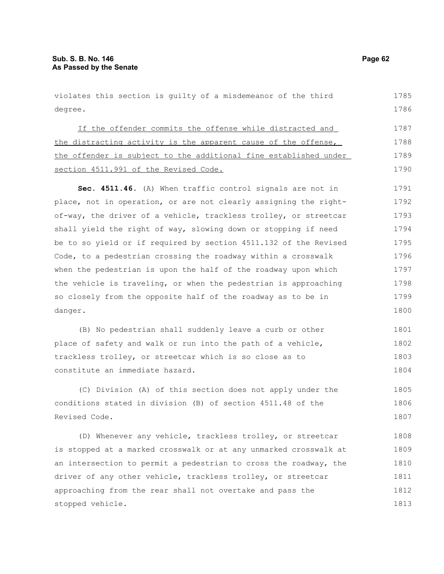violates this section is guilty of a misdemeanor of the third degree. If the offender commits the offense while distracted and the distracting activity is the apparent cause of the offense, the offender is subject to the additional fine established under section 4511.991 of the Revised Code. **Sec. 4511.46.** (A) When traffic control signals are not in place, not in operation, or are not clearly assigning the rightof-way, the driver of a vehicle, trackless trolley, or streetcar shall yield the right of way, slowing down or stopping if need be to so yield or if required by section 4511.132 of the Revised Code, to a pedestrian crossing the roadway within a crosswalk when the pedestrian is upon the half of the roadway upon which the vehicle is traveling, or when the pedestrian is approaching so closely from the opposite half of the roadway as to be in danger. (B) No pedestrian shall suddenly leave a curb or other place of safety and walk or run into the path of a vehicle, trackless trolley, or streetcar which is so close as to constitute an immediate hazard. (C) Division (A) of this section does not apply under the conditions stated in division (B) of section 4511.48 of the Revised Code. (D) Whenever any vehicle, trackless trolley, or streetcar 1785 1786 1787 1788 1789 1790 1791 1792 1793 1794 1795 1796 1797 1798 1799 1800 1801 1802 1803 1804 1805 1806 1807 1808

is stopped at a marked crosswalk or at any unmarked crosswalk at an intersection to permit a pedestrian to cross the roadway, the driver of any other vehicle, trackless trolley, or streetcar approaching from the rear shall not overtake and pass the stopped vehicle. 1809 1810 1811 1812 1813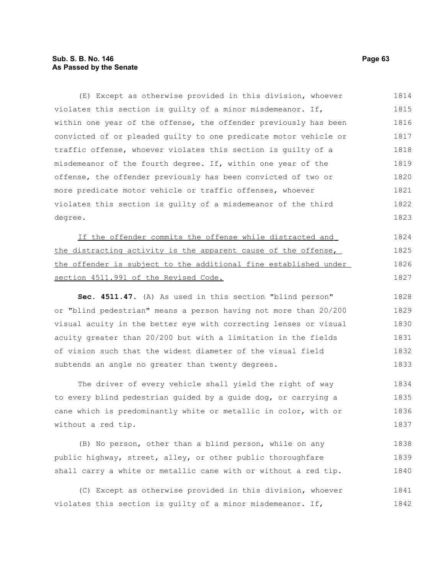# **Sub. S. B. No. 146 Page 63 As Passed by the Senate**

(E) Except as otherwise provided in this division, whoever violates this section is guilty of a minor misdemeanor. If, within one year of the offense, the offender previously has been convicted of or pleaded guilty to one predicate motor vehicle or traffic offense, whoever violates this section is guilty of a misdemeanor of the fourth degree. If, within one year of the offense, the offender previously has been convicted of two or more predicate motor vehicle or traffic offenses, whoever violates this section is guilty of a misdemeanor of the third degree. If the offender commits the offense while distracted and the distracting activity is the apparent cause of the offense, the offender is subject to the additional fine established under section 4511.991 of the Revised Code. **Sec. 4511.47.** (A) As used in this section "blind person" or "blind pedestrian" means a person having not more than 20/200 visual acuity in the better eye with correcting lenses or visual acuity greater than 20/200 but with a limitation in the fields of vision such that the widest diameter of the visual field subtends an angle no greater than twenty degrees. The driver of every vehicle shall yield the right of way to every blind pedestrian guided by a guide dog, or carrying a 1815 1816 1817 1818 1819 1820 1821 1822 1823 1824 1825 1826 1827 1828 1829 1830 1831 1832 1833 1834 1835

cane which is predominantly white or metallic in color, with or without a red tip. 1836 1837

(B) No person, other than a blind person, while on any public highway, street, alley, or other public thoroughfare shall carry a white or metallic cane with or without a red tip. 1838 1839 1840

(C) Except as otherwise provided in this division, whoever violates this section is guilty of a minor misdemeanor. If, 1841 1842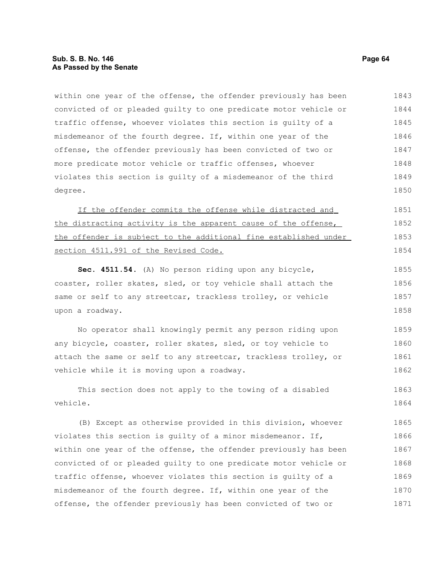# **Sub. S. B. No. 146 Page 64 As Passed by the Senate**

within one year of the offense, the offender previously has been convicted of or pleaded guilty to one predicate motor vehicle or traffic offense, whoever violates this section is guilty of a misdemeanor of the fourth degree. If, within one year of the offense, the offender previously has been convicted of two or more predicate motor vehicle or traffic offenses, whoever violates this section is guilty of a misdemeanor of the third degree. 1843 1844 1845 1846 1847 1848 1849 1850

 If the offender commits the offense while distracted and the distracting activity is the apparent cause of the offense, the offender is subject to the additional fine established under section 4511.991 of the Revised Code. 1851 1852 1853 1854

**Sec. 4511.54.** (A) No person riding upon any bicycle, coaster, roller skates, sled, or toy vehicle shall attach the same or self to any streetcar, trackless trolley, or vehicle upon a roadway. 1855 1856 1857 1858

No operator shall knowingly permit any person riding upon any bicycle, coaster, roller skates, sled, or toy vehicle to attach the same or self to any streetcar, trackless trolley, or vehicle while it is moving upon a roadway. 1859 1860 1861 1862

This section does not apply to the towing of a disabled vehicle. 1863 1864

(B) Except as otherwise provided in this division, whoever violates this section is guilty of a minor misdemeanor. If, within one year of the offense, the offender previously has been convicted of or pleaded guilty to one predicate motor vehicle or traffic offense, whoever violates this section is guilty of a misdemeanor of the fourth degree. If, within one year of the offense, the offender previously has been convicted of two or 1865 1866 1867 1868 1869 1870 1871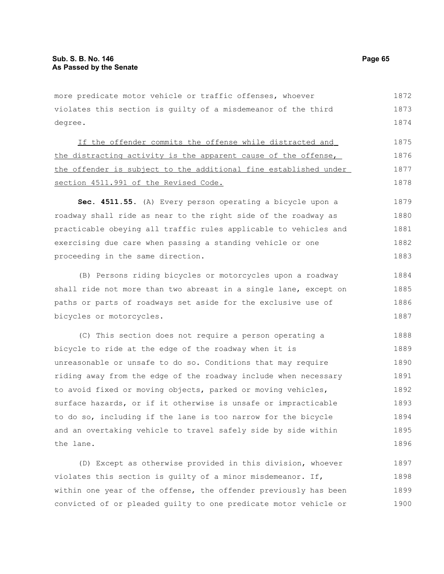more predicate motor vehicle or traffic offenses, whoever violates this section is guilty of a misdemeanor of the third degree. 1872 1873 1874

 If the offender commits the offense while distracted and the distracting activity is the apparent cause of the offense, the offender is subject to the additional fine established under section 4511.991 of the Revised Code. 1875 1876 1877 1878

**Sec. 4511.55.** (A) Every person operating a bicycle upon a roadway shall ride as near to the right side of the roadway as practicable obeying all traffic rules applicable to vehicles and exercising due care when passing a standing vehicle or one proceeding in the same direction. 1879 1880 1881 1882 1883

(B) Persons riding bicycles or motorcycles upon a roadway shall ride not more than two abreast in a single lane, except on paths or parts of roadways set aside for the exclusive use of bicycles or motorcycles. 1884 1885 1886 1887

(C) This section does not require a person operating a bicycle to ride at the edge of the roadway when it is unreasonable or unsafe to do so. Conditions that may require riding away from the edge of the roadway include when necessary to avoid fixed or moving objects, parked or moving vehicles, surface hazards, or if it otherwise is unsafe or impracticable to do so, including if the lane is too narrow for the bicycle and an overtaking vehicle to travel safely side by side within the lane. 1888 1889 1890 1891 1892 1893 1894 1895 1896

(D) Except as otherwise provided in this division, whoever violates this section is guilty of a minor misdemeanor. If, within one year of the offense, the offender previously has been convicted of or pleaded guilty to one predicate motor vehicle or 1897 1898 1899 1900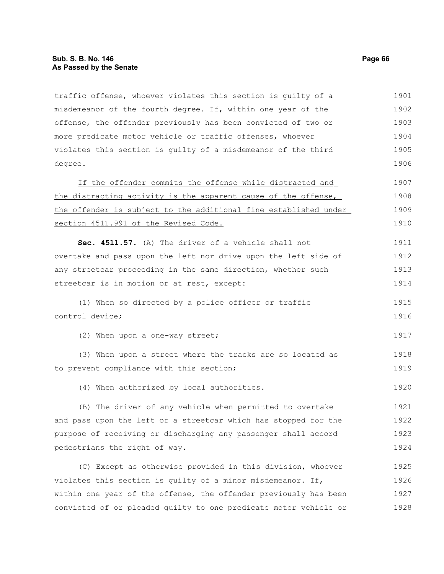misdemeanor of the fourth degree. If, within one year of the offense, the offender previously has been convicted of two or more predicate motor vehicle or traffic offenses, whoever violates this section is guilty of a misdemeanor of the third degree. If the offender commits the offense while distracted and the distracting activity is the apparent cause of the offense, the offender is subject to the additional fine established under section 4511.991 of the Revised Code. **Sec. 4511.57.** (A) The driver of a vehicle shall not overtake and pass upon the left nor drive upon the left side of any streetcar proceeding in the same direction, whether such streetcar is in motion or at rest, except: (1) When so directed by a police officer or traffic control device; (2) When upon a one-way street; (3) When upon a street where the tracks are so located as to prevent compliance with this section; (4) When authorized by local authorities. (B) The driver of any vehicle when permitted to overtake and pass upon the left of a streetcar which has stopped for the purpose of receiving or discharging any passenger shall accord pedestrians the right of way. (C) Except as otherwise provided in this division, whoever violates this section is guilty of a minor misdemeanor. If, 1902 1903 1904 1905 1906 1907 1908 1909 1910 1911 1912 1913 1914 1915 1916 1917 1918 1919 1920 1921 1922 1923 1924 1925 1926

traffic offense, whoever violates this section is guilty of a

within one year of the offense, the offender previously has been convicted of or pleaded guilty to one predicate motor vehicle or 1927 1928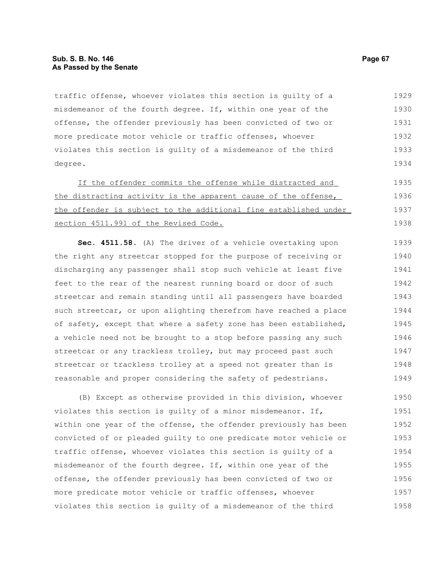traffic offense, whoever violates this section is guilty of a misdemeanor of the fourth degree. If, within one year of the offense, the offender previously has been convicted of two or more predicate motor vehicle or traffic offenses, whoever violates this section is guilty of a misdemeanor of the third degree. 1929 1930 1931 1932 1933 1934

 If the offender commits the offense while distracted and the distracting activity is the apparent cause of the offense, the offender is subject to the additional fine established under section 4511.991 of the Revised Code. 1935 1936 1937 1938

**Sec. 4511.58.** (A) The driver of a vehicle overtaking upon the right any streetcar stopped for the purpose of receiving or discharging any passenger shall stop such vehicle at least five feet to the rear of the nearest running board or door of such streetcar and remain standing until all passengers have boarded such streetcar, or upon alighting therefrom have reached a place of safety, except that where a safety zone has been established, a vehicle need not be brought to a stop before passing any such streetcar or any trackless trolley, but may proceed past such streetcar or trackless trolley at a speed not greater than is reasonable and proper considering the safety of pedestrians. 1939 1940 1941 1942 1943 1944 1945 1946 1947 1948 1949

(B) Except as otherwise provided in this division, whoever violates this section is guilty of a minor misdemeanor. If, within one year of the offense, the offender previously has been convicted of or pleaded guilty to one predicate motor vehicle or traffic offense, whoever violates this section is guilty of a misdemeanor of the fourth degree. If, within one year of the offense, the offender previously has been convicted of two or more predicate motor vehicle or traffic offenses, whoever violates this section is guilty of a misdemeanor of the third 1950 1951 1952 1953 1954 1955 1956 1957 1958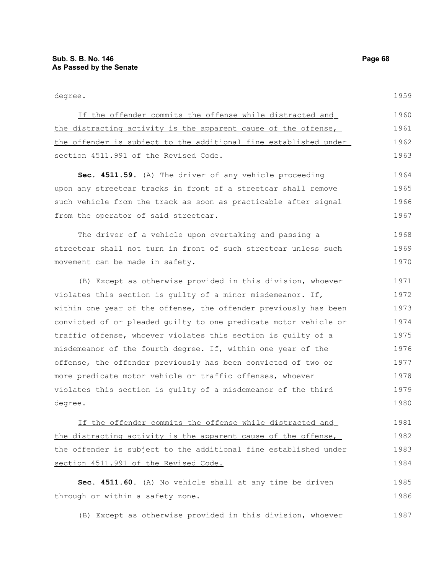degree.

If the offender commits the offense while distracted and the distracting activity is the apparent cause of the offense, the offender is subject to the additional fine established under section 4511.991 of the Revised Code. **Sec. 4511.59.** (A) The driver of any vehicle proceeding upon any streetcar tracks in front of a streetcar shall remove such vehicle from the track as soon as practicable after signal from the operator of said streetcar. The driver of a vehicle upon overtaking and passing a streetcar shall not turn in front of such streetcar unless such movement can be made in safety. (B) Except as otherwise provided in this division, whoever violates this section is guilty of a minor misdemeanor. If, within one year of the offense, the offender previously has been convicted of or pleaded guilty to one predicate motor vehicle or 1959 1960 1961 1962 1963 1964 1965 1966 1967 1968 1969 1970 1971 1972 1973 1974

traffic offense, whoever violates this section is guilty of a misdemeanor of the fourth degree. If, within one year of the offense, the offender previously has been convicted of two or more predicate motor vehicle or traffic offenses, whoever violates this section is guilty of a misdemeanor of the third degree. 1975 1976 1977 1978 1979 1980

 If the offender commits the offense while distracted and the distracting activity is the apparent cause of the offense, the offender is subject to the additional fine established under section 4511.991 of the Revised Code. 1981 1982 1983 1984

**Sec. 4511.60.** (A) No vehicle shall at any time be driven through or within a safety zone. 1985 1986

(B) Except as otherwise provided in this division, whoever 1987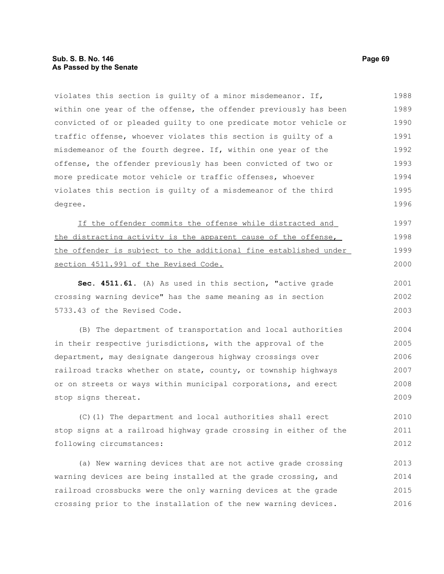# **Sub. S. B. No. 146 Page 69 As Passed by the Senate**

violates this section is guilty of a minor misdemeanor. If, within one year of the offense, the offender previously has been convicted of or pleaded guilty to one predicate motor vehicle or traffic offense, whoever violates this section is guilty of a misdemeanor of the fourth degree. If, within one year of the offense, the offender previously has been convicted of two or more predicate motor vehicle or traffic offenses, whoever violates this section is guilty of a misdemeanor of the third degree. 1988 1989 1990 1991 1992 1993 1994 1995 1996

 If the offender commits the offense while distracted and the distracting activity is the apparent cause of the offense, the offender is subject to the additional fine established under section 4511.991 of the Revised Code. 1997 1998 1999 2000

**Sec. 4511.61.** (A) As used in this section, "active grade crossing warning device" has the same meaning as in section 5733.43 of the Revised Code.

(B) The department of transportation and local authorities in their respective jurisdictions, with the approval of the department, may designate dangerous highway crossings over railroad tracks whether on state, county, or township highways or on streets or ways within municipal corporations, and erect stop signs thereat. 2004 2005 2006 2007 2008 2009

(C)(1) The department and local authorities shall erect stop signs at a railroad highway grade crossing in either of the following circumstances: 2010 2011 2012

(a) New warning devices that are not active grade crossing warning devices are being installed at the grade crossing, and railroad crossbucks were the only warning devices at the grade crossing prior to the installation of the new warning devices. 2013 2014 2015 2016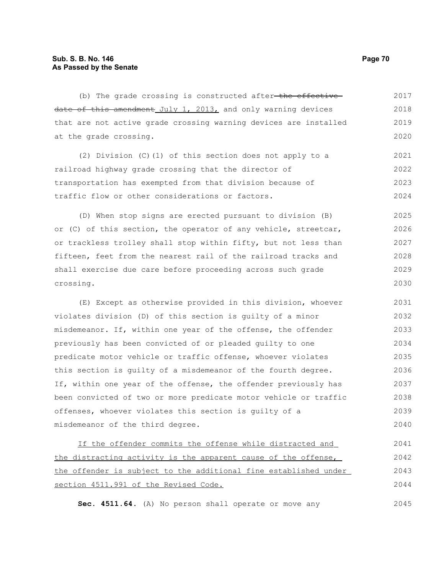(b) The grade crossing is constructed after-the effectivedate of this amendment July 1, 2013, and only warning devices that are not active grade crossing warning devices are installed at the grade crossing. 2017 2018 2019 2020

(2) Division (C)(1) of this section does not apply to a railroad highway grade crossing that the director of transportation has exempted from that division because of traffic flow or other considerations or factors. 2021 2022 2023 2024

(D) When stop signs are erected pursuant to division (B) or (C) of this section, the operator of any vehicle, streetcar, or trackless trolley shall stop within fifty, but not less than fifteen, feet from the nearest rail of the railroad tracks and shall exercise due care before proceeding across such grade crossing. 2025 2026 2027 2028 2029 2030

(E) Except as otherwise provided in this division, whoever violates division (D) of this section is guilty of a minor misdemeanor. If, within one year of the offense, the offender previously has been convicted of or pleaded guilty to one predicate motor vehicle or traffic offense, whoever violates this section is guilty of a misdemeanor of the fourth degree. If, within one year of the offense, the offender previously has been convicted of two or more predicate motor vehicle or traffic offenses, whoever violates this section is guilty of a misdemeanor of the third degree. 2031 2032 2033 2034 2035 2036 2037 2038 2039 2040

 If the offender commits the offense while distracted and the distracting activity is the apparent cause of the offense, the offender is subject to the additional fine established under section 4511.991 of the Revised Code. 2041 2042 2043 2044

**Sec. 4511.64.** (A) No person shall operate or move any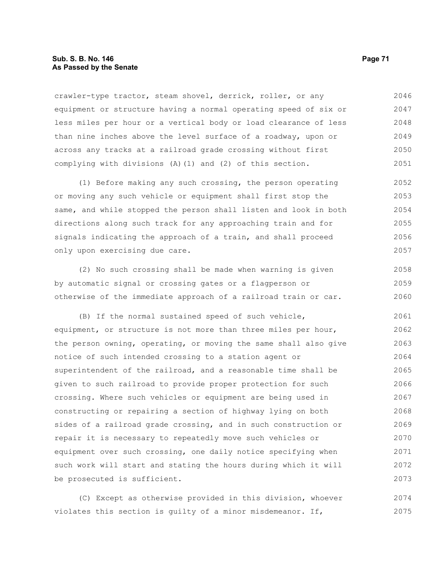# **Sub. S. B. No. 146 Page 71 As Passed by the Senate**

crawler-type tractor, steam shovel, derrick, roller, or any equipment or structure having a normal operating speed of six or less miles per hour or a vertical body or load clearance of less than nine inches above the level surface of a roadway, upon or across any tracks at a railroad grade crossing without first complying with divisions (A)(1) and (2) of this section. 2046 2047 2048 2049 2050 2051

(1) Before making any such crossing, the person operating or moving any such vehicle or equipment shall first stop the same, and while stopped the person shall listen and look in both directions along such track for any approaching train and for signals indicating the approach of a train, and shall proceed only upon exercising due care. 2052 2053 2054 2055 2056 2057

(2) No such crossing shall be made when warning is given by automatic signal or crossing gates or a flagperson or otherwise of the immediate approach of a railroad train or car. 2058 2059 2060

(B) If the normal sustained speed of such vehicle, equipment, or structure is not more than three miles per hour, the person owning, operating, or moving the same shall also give notice of such intended crossing to a station agent or superintendent of the railroad, and a reasonable time shall be given to such railroad to provide proper protection for such crossing. Where such vehicles or equipment are being used in constructing or repairing a section of highway lying on both sides of a railroad grade crossing, and in such construction or repair it is necessary to repeatedly move such vehicles or equipment over such crossing, one daily notice specifying when such work will start and stating the hours during which it will be prosecuted is sufficient. 2061 2062 2063 2064 2065 2066 2067 2068 2069 2070 2071 2072 2073

(C) Except as otherwise provided in this division, whoever violates this section is guilty of a minor misdemeanor. If, 2074 2075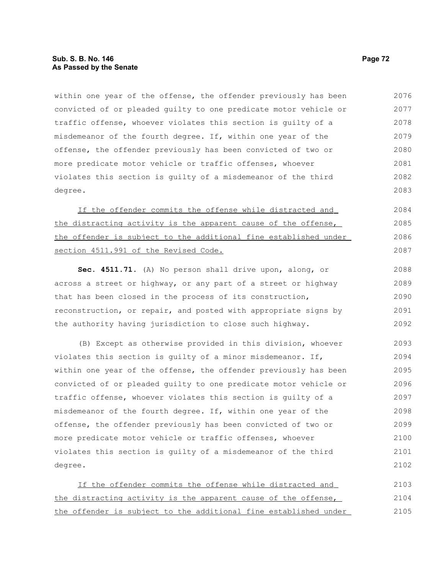# **Sub. S. B. No. 146 Page 72 As Passed by the Senate**

within one year of the offense, the offender previously has been convicted of or pleaded guilty to one predicate motor vehicle or traffic offense, whoever violates this section is guilty of a misdemeanor of the fourth degree. If, within one year of the offense, the offender previously has been convicted of two or more predicate motor vehicle or traffic offenses, whoever violates this section is guilty of a misdemeanor of the third degree. 2076 2077 2078 2079 2080 2081 2082 2083

 If the offender commits the offense while distracted and the distracting activity is the apparent cause of the offense, the offender is subject to the additional fine established under section 4511.991 of the Revised Code. 2084 2085 2086 2087

**Sec. 4511.71.** (A) No person shall drive upon, along, or across a street or highway, or any part of a street or highway that has been closed in the process of its construction, reconstruction, or repair, and posted with appropriate signs by the authority having jurisdiction to close such highway. 2088 2089 2090 2091 2092

(B) Except as otherwise provided in this division, whoever violates this section is guilty of a minor misdemeanor. If, within one year of the offense, the offender previously has been convicted of or pleaded guilty to one predicate motor vehicle or traffic offense, whoever violates this section is guilty of a misdemeanor of the fourth degree. If, within one year of the offense, the offender previously has been convicted of two or more predicate motor vehicle or traffic offenses, whoever violates this section is guilty of a misdemeanor of the third degree. 2093 2094 2095 2096 2097 2098 2099 2100 2101 2102

If the offender commits the offense while distracted and the distracting activity is the apparent cause of the offense, the offender is subject to the additional fine established under 2103 2104 2105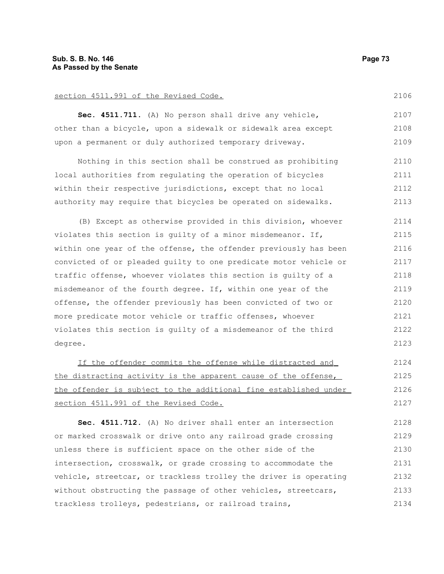| section 4511.991 of the Revised Code.                            | 2106 |
|------------------------------------------------------------------|------|
| Sec. 4511.711. (A) No person shall drive any vehicle,            | 2107 |
| other than a bicycle, upon a sidewalk or sidewalk area except    | 2108 |
| upon a permanent or duly authorized temporary driveway.          | 2109 |
| Nothing in this section shall be construed as prohibiting        | 2110 |
| local authorities from regulating the operation of bicycles      | 2111 |
| within their respective jurisdictions, except that no local      | 2112 |
| authority may require that bicycles be operated on sidewalks.    | 2113 |
| (B) Except as otherwise provided in this division, whoever       | 2114 |
| violates this section is quilty of a minor misdemeanor. If,      | 2115 |
| within one year of the offense, the offender previously has been | 2116 |
| convicted of or pleaded quilty to one predicate motor vehicle or | 2117 |
| traffic offense, whoever violates this section is quilty of a    | 2118 |
| misdemeanor of the fourth degree. If, within one year of the     | 2119 |
| offense, the offender previously has been convicted of two or    | 2120 |
| more predicate motor vehicle or traffic offenses, whoever        | 2121 |
| violates this section is quilty of a misdemeanor of the third    | 2122 |
| degree.                                                          | 2123 |

 If the offender commits the offense while distracted and the distracting activity is the apparent cause of the offense, the offender is subject to the additional fine established under section 4511.991 of the Revised Code. 2124 2125 2126 2127

**Sec. 4511.712.** (A) No driver shall enter an intersection or marked crosswalk or drive onto any railroad grade crossing unless there is sufficient space on the other side of the intersection, crosswalk, or grade crossing to accommodate the vehicle, streetcar, or trackless trolley the driver is operating without obstructing the passage of other vehicles, streetcars, trackless trolleys, pedestrians, or railroad trains, 2128 2129 2130 2131 2132 2133 2134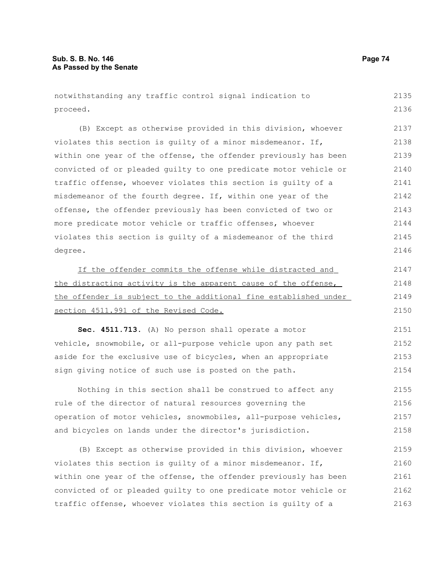notwithstanding any traffic control signal indication to proceed. (B) Except as otherwise provided in this division, whoever violates this section is guilty of a minor misdemeanor. If, within one year of the offense, the offender previously has been convicted of or pleaded guilty to one predicate motor vehicle or traffic offense, whoever violates this section is guilty of a misdemeanor of the fourth degree. If, within one year of the offense, the offender previously has been convicted of two or more predicate motor vehicle or traffic offenses, whoever violates this section is guilty of a misdemeanor of the third degree. If the offender commits the offense while distracted and the distracting activity is the apparent cause of the offense, the offender is subject to the additional fine established under section 4511.991 of the Revised Code. **Sec. 4511.713.** (A) No person shall operate a motor 2135 2136 2137 2138 2139 2140 2141 2142 2143 2144 2145 2146 2147 2148 2149 2150 2151

vehicle, snowmobile, or all-purpose vehicle upon any path set aside for the exclusive use of bicycles, when an appropriate sign giving notice of such use is posted on the path. 2152 2153 2154

Nothing in this section shall be construed to affect any rule of the director of natural resources governing the operation of motor vehicles, snowmobiles, all-purpose vehicles, and bicycles on lands under the director's jurisdiction. 2155 2156 2157 2158

(B) Except as otherwise provided in this division, whoever violates this section is guilty of a minor misdemeanor. If, within one year of the offense, the offender previously has been convicted of or pleaded guilty to one predicate motor vehicle or traffic offense, whoever violates this section is guilty of a 2159 2160 2161 2162 2163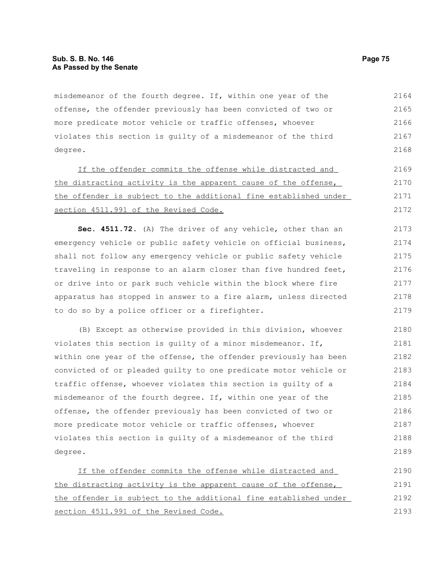misdemeanor of the fourth degree. If, within one year of the offense, the offender previously has been convicted of two or more predicate motor vehicle or traffic offenses, whoever violates this section is guilty of a misdemeanor of the third degree. 2164 2165 2166 2167 2168

 If the offender commits the offense while distracted and the distracting activity is the apparent cause of the offense, the offender is subject to the additional fine established under section 4511.991 of the Revised Code. 2169 2170 2171 2172

**Sec. 4511.72.** (A) The driver of any vehicle, other than an emergency vehicle or public safety vehicle on official business, shall not follow any emergency vehicle or public safety vehicle traveling in response to an alarm closer than five hundred feet, or drive into or park such vehicle within the block where fire apparatus has stopped in answer to a fire alarm, unless directed to do so by a police officer or a firefighter. 2173 2174 2175 2176 2177 2178 2179

(B) Except as otherwise provided in this division, whoever violates this section is guilty of a minor misdemeanor. If, within one year of the offense, the offender previously has been convicted of or pleaded guilty to one predicate motor vehicle or traffic offense, whoever violates this section is guilty of a misdemeanor of the fourth degree. If, within one year of the offense, the offender previously has been convicted of two or more predicate motor vehicle or traffic offenses, whoever violates this section is guilty of a misdemeanor of the third degree. 2180 2181 2182 2183 2184 2185 2186 2187 2188 2189

 If the offender commits the offense while distracted and the distracting activity is the apparent cause of the offense, the offender is subject to the additional fine established under section 4511.991 of the Revised Code. 2190 2191 2192 2193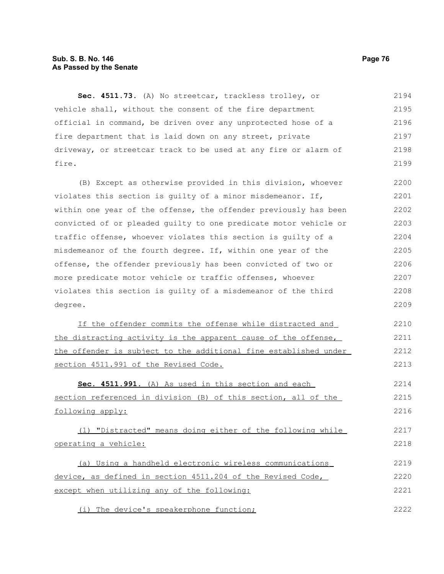## **Sub. S. B. No. 146 Page 76 As Passed by the Senate**

**Sec. 4511.73.** (A) No streetcar, trackless trolley, or vehicle shall, without the consent of the fire department official in command, be driven over any unprotected hose of a fire department that is laid down on any street, private driveway, or streetcar track to be used at any fire or alarm of fire. 2194 2195 2196 2197 2198 2199

(B) Except as otherwise provided in this division, whoever violates this section is guilty of a minor misdemeanor. If, within one year of the offense, the offender previously has been convicted of or pleaded guilty to one predicate motor vehicle or traffic offense, whoever violates this section is guilty of a misdemeanor of the fourth degree. If, within one year of the offense, the offender previously has been convicted of two or more predicate motor vehicle or traffic offenses, whoever violates this section is guilty of a misdemeanor of the third degree. 2200 2201 2202 2203 2204 2205 2206 2207 2208 2209

 If the offender commits the offense while distracted and the distracting activity is the apparent cause of the offense, the offender is subject to the additional fine established under section 4511.991 of the Revised Code. 2210 2211 2212 2213

 **Sec. 4511.991.** (A) As used in this section and each section referenced in division (B) of this section, all of the following apply: 2214 2215 2216

 (1) "Distracted" means doing either of the following while operating a vehicle: 2217 2218

 (a) Using a handheld electronic wireless communications device, as defined in section 4511.204 of the Revised Code, except when utilizing any of the following: 2219 2220 2221

 (i) The device's speakerphone function; 2222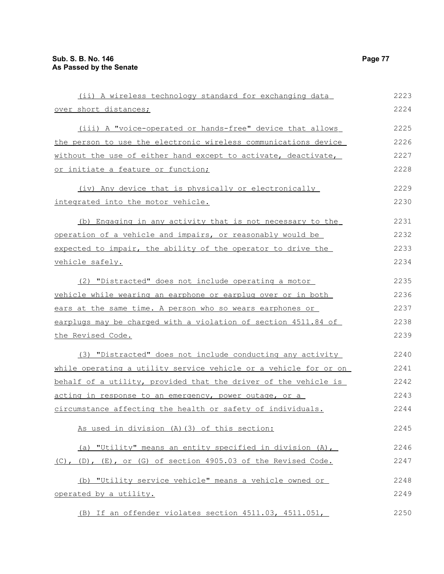| (ii) A wireless technology standard for exchanging data          | 2223 |
|------------------------------------------------------------------|------|
| over short distances;                                            | 2224 |
| (iii) A "voice-operated or hands-free" device that allows        | 2225 |
| the person to use the electronic wireless communications device  | 2226 |
| without the use of either hand except to activate, deactivate,   | 2227 |
| or initiate a feature or function;                               | 2228 |
| (iv) Any device that is physically or electronically             | 2229 |
| integrated into the motor vehicle.                               | 2230 |
| (b) Engaging in any activity that is not necessary to the        | 2231 |
| operation of a vehicle and impairs, or reasonably would be       | 2232 |
| expected to impair, the ability of the operator to drive the     | 2233 |
| vehicle safely.                                                  | 2234 |
| (2) "Distracted" does not include operating a motor              | 2235 |
| vehicle while wearing an earphone or earplug over or in both     | 2236 |
| ears at the same time. A person who so wears earphones or        | 2237 |
| earplugs may be charged with a violation of section 4511.84 of   | 2238 |
| the Revised Code.                                                | 2239 |
| (3) "Distracted" does not include conducting any activity        | 2240 |
| while operating a utility service vehicle or a vehicle for or on | 2241 |
| behalf of a utility, provided that the driver of the vehicle is  | 2242 |
| acting in response to an emergency, power outage, or a           | 2243 |
| circumstance affecting the health or safety of individuals.      | 2244 |
| As used in division (A) (3) of this section:                     | 2245 |
| (a) "Utility" means an entity specified in division $(A)$ ,      | 2246 |
| (C), (D), (E), or (G) of section 4905.03 of the Revised Code.    | 2247 |
| (b) "Utility service vehicle" means a vehicle owned or           | 2248 |
| operated by a utility.                                           | 2249 |
| (B) If an offender violates section 4511.03, 4511.051,           | 2250 |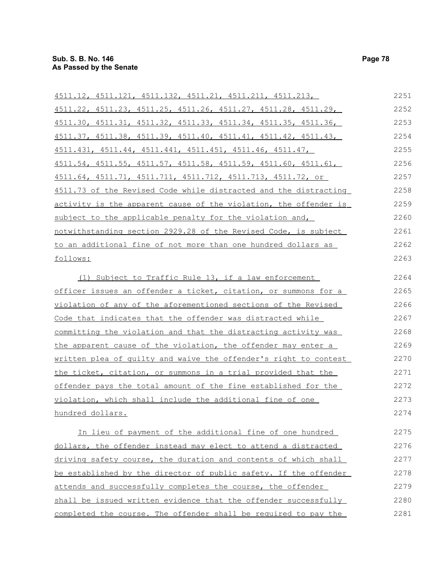| 4511.12, 4511.121, 4511.132, 4511.21, 4511.211, 4511.213,                           | 2251 |
|-------------------------------------------------------------------------------------|------|
| 4511.22, 4511.23, 4511.25, 4511.26, 4511.27, 4511.28, 4511.29,                      | 2252 |
| 4511.30, 4511.31, 4511.32, 4511.33, 4511.34, 4511.35, 4511.36,                      | 2253 |
| 4511.37, 4511.38, 4511.39, 4511.40, 4511.41, 4511.42, 4511.43,                      | 2254 |
| $4511.431, 4511.44, 4511.441, 4511.451, 4511.46, 4511.47,$                          | 2255 |
| $4511.54$ , $4511.55$ , $4511.57$ , $4511.58$ , $4511.59$ , $4511.60$ , $4511.61$ , | 2256 |
| 4511.64, 4511.71, 4511.711, 4511.712, 4511.713, 4511.72, or                         | 2257 |
| 4511.73 of the Revised Code while distracted and the distracting                    | 2258 |
| activity is the apparent cause of the violation, the offender is                    | 2259 |
| subject to the applicable penalty for the violation and,                            | 2260 |
| notwithstanding section 2929.28 of the Revised Code, is subject                     | 2261 |
| to an additional fine of not more than one hundred dollars as                       | 2262 |
| follows:                                                                            | 2263 |
| (1) Subject to Traffic Rule 13, if a law enforcement                                | 2264 |
| officer issues an offender a ticket, citation, or summons for a                     | 2265 |
| violation of any of the aforementioned sections of the Revised                      | 2266 |
| Code that indicates that the offender was distracted while                          | 2267 |
| committing the violation and that the distracting activity was                      | 2268 |
| the apparent cause of the violation, the offender may enter a                       | 2269 |
| written plea of quilty and waive the offender's right to contest                    | 2270 |
| the ticket, citation, or summons in a trial provided that the                       | 2271 |
| offender pays the total amount of the fine established for the                      | 2272 |
| violation, which shall include the additional fine of one                           | 2273 |
| hundred dollars.                                                                    | 2274 |
| In lieu of payment of the additional fine of one hundred                            | 2275 |

dollars, the offender instead may elect to attend a distracted driving safety course, the duration and contents of which shall be established by the director of public safety. If the offender attends and successfully completes the course, the offender shall be issued written evidence that the offender successfully completed the course. The offender shall be required to pay the 2276 2277 2278 2279 2280 2281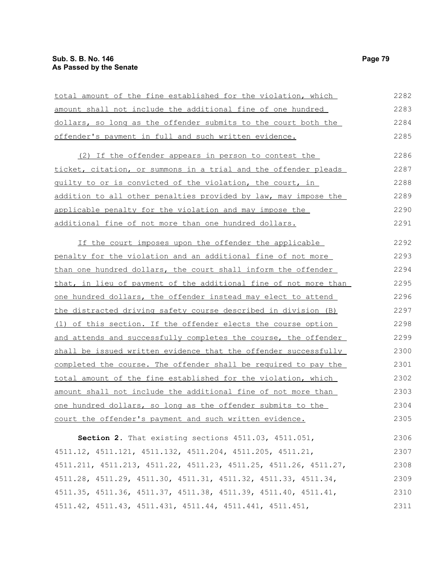| total amount of the fine established for the violation, which    | 2282 |
|------------------------------------------------------------------|------|
| amount shall not include the additional fine of one hundred      | 2283 |
| dollars, so long as the offender submits to the court both the   | 2284 |
| offender's payment in full and such written evidence.            | 2285 |
| (2) If the offender appears in person to contest the             | 2286 |
| ticket, citation, or summons in a trial and the offender pleads  | 2287 |
| guilty to or is convicted of the violation, the court, in        | 2288 |
| addition to all other penalties provided by law, may impose the  | 2289 |
| applicable penalty for the violation and may impose the          | 2290 |
| additional fine of not more than one hundred dollars.            | 2291 |
| If the court imposes upon the offender the applicable            | 2292 |
| penalty for the violation and an additional fine of not more     | 2293 |
| than one hundred dollars, the court shall inform the offender    | 2294 |
| that, in lieu of payment of the additional fine of not more than | 2295 |
| one hundred dollars, the offender instead may elect to attend    | 2296 |
| the distracted driving safety course described in division (B)   | 2297 |
| (1) of this section. If the offender elects the course option    | 2298 |
| and attends and successfully completes the course, the offender  | 2299 |
| shall be issued written evidence that the offender successfully  | 2300 |
| completed the course. The offender shall be required to pay the  | 2301 |
| total amount of the fine established for the violation, which    | 2302 |
| amount shall not include the additional fine of not more than    | 2303 |
| one hundred dollars, so long as the offender submits to the      | 2304 |
| court the offender's payment and such written evidence.          | 2305 |
| Section 2. That existing sections 4511.03, 4511.051,             | 2306 |
| 4511.12, 4511.121, 4511.132, 4511.204, 4511.205, 4511.21,        | 2307 |
| 4511.211, 4511.213, 4511.22, 4511.23, 4511.25, 4511.26, 4511.27, | 2308 |
| 4511.28, 4511.29, 4511.30, 4511.31, 4511.32, 4511.33, 4511.34,   | 2309 |
| 4511.35, 4511.36, 4511.37, 4511.38, 4511.39, 4511.40, 4511.41,   | 2310 |

4511.42, 4511.43, 4511.431, 4511.44, 4511.441, 4511.451,

2311